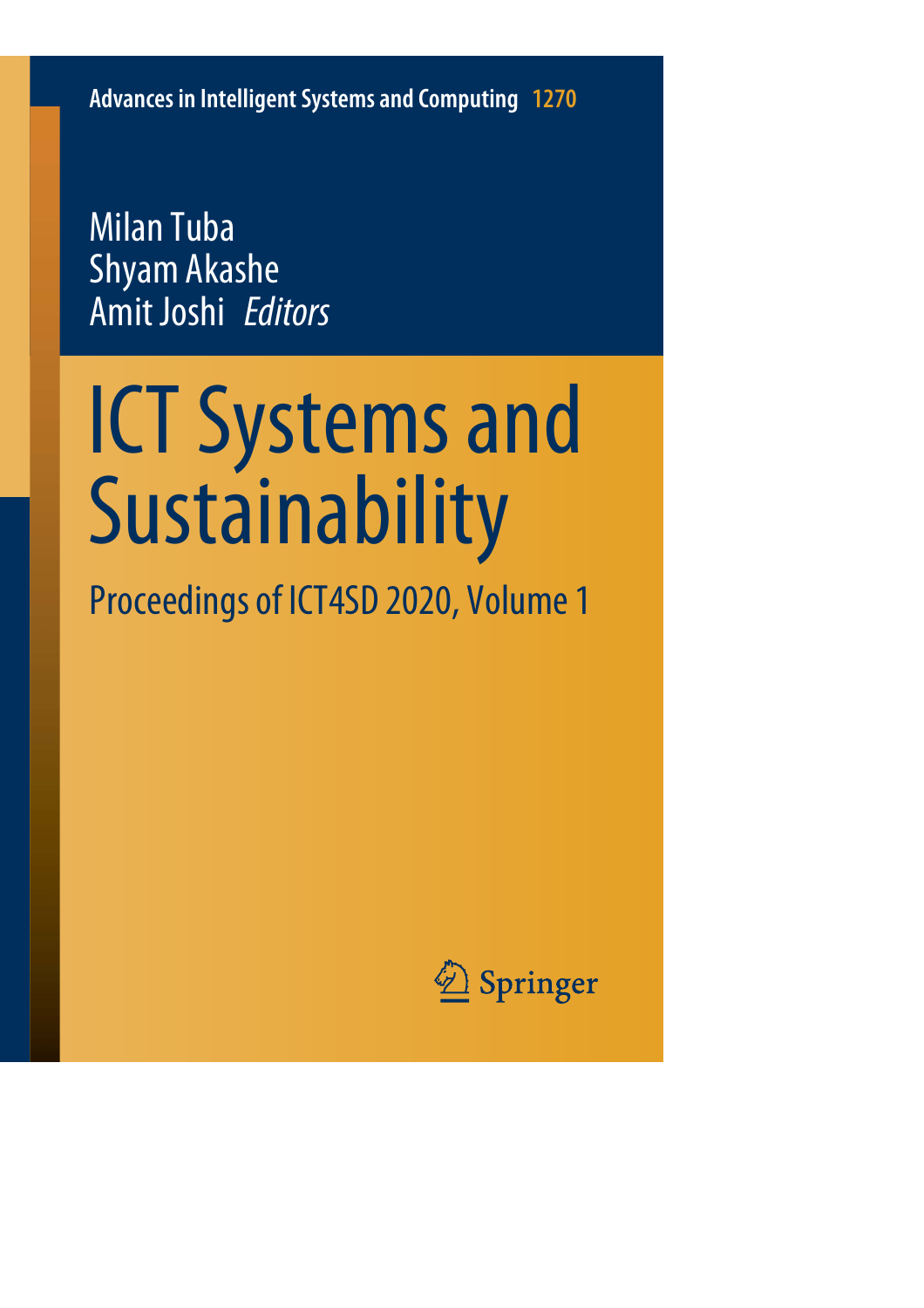**Advances in Intelligent Systems and Computing 1270**

Milan Tuba Shyam Akashe Amit Joshi *Editors*

# ICT Systems and Sustainability

Proceedings of ICT4SD 2020, Volume 1

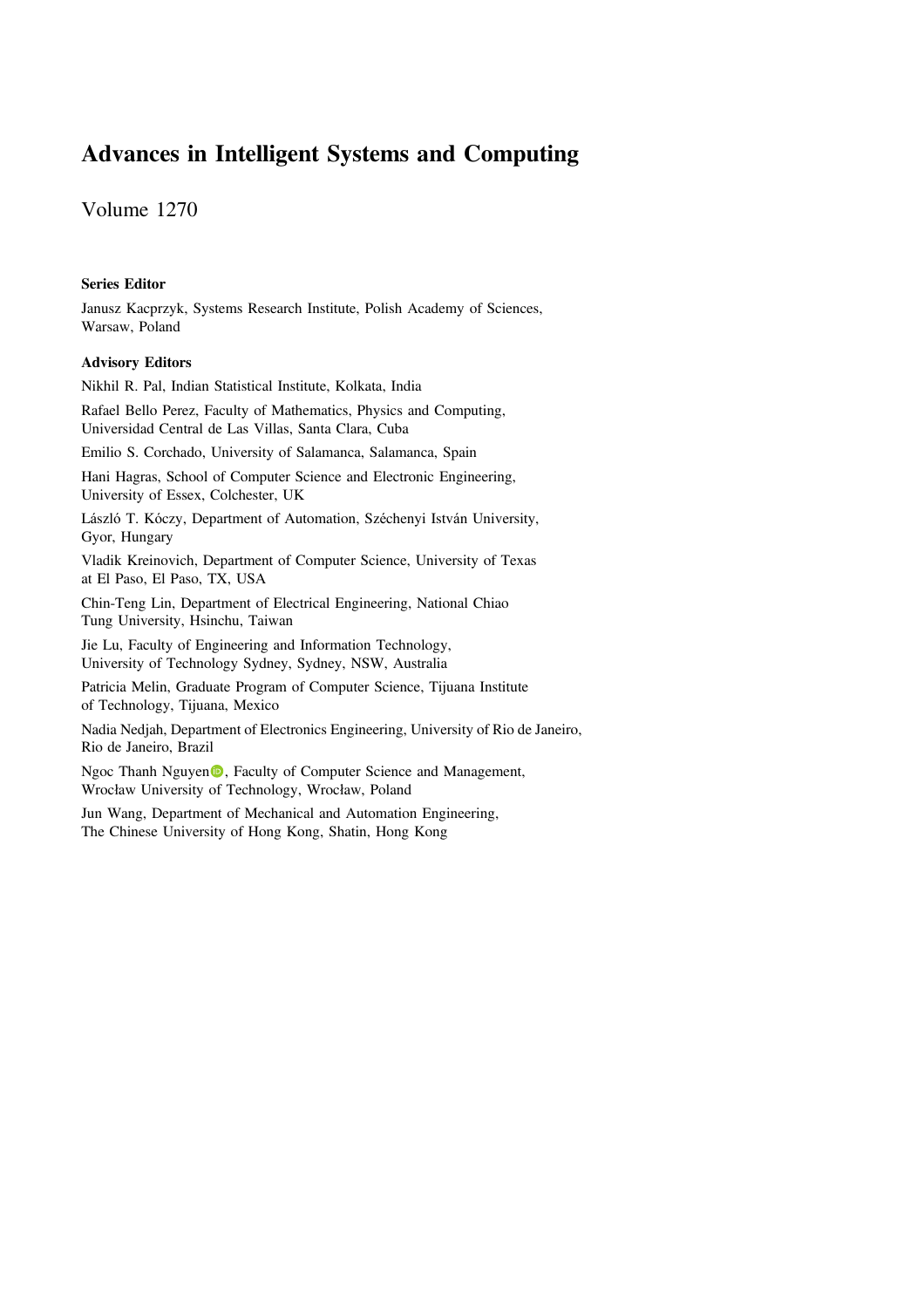# Advances in Intelligent Systems and Computing

Volume 1270

### Series Editor

Janusz Kacprzyk, Systems Research Institute, Polish Academy of Sciences, Warsaw, Poland

### Advisory Editors

Nikhil R. Pal, Indian Statistical Institute, Kolkata, India

Rafael Bello Perez, Faculty of Mathematics, Physics and Computing, Universidad Central de Las Villas, Santa Clara, Cuba

Emilio S. Corchado, University of Salamanca, Salamanca, Spain

Hani Hagras, School of Computer Science and Electronic Engineering, University of Essex, Colchester, UK

László T. Kóczy, Department of Automation, Széchenyi István University, Gyor, Hungary

Vladik Kreinovich, Department of Computer Science, University of Texas at El Paso, El Paso, TX, USA

Chin-Teng Lin, Department of Electrical Engineering, National Chiao Tung University, Hsinchu, Taiwan

Jie Lu, Faculty of Engineering and Information Technology, University of Technology Sydney, Sydney, NSW, Australia

Patricia Melin, Graduate Program of Computer Science, Tijuana Institute of Technology, Tijuana, Mexico

Nadia Nedjah, Department of Electronics Engineering, University of Rio de Janeiro, Rio de Janeiro, Brazil

Ngoc Thanh Nguyen<sup>®</sup>, Faculty of Computer Science and Management, Wrocław University of Technology, Wrocław, Poland

Jun Wang, Department of Mechanical and Automation Engineering, The Chinese University of Hong Kong, Shatin, Hong Kong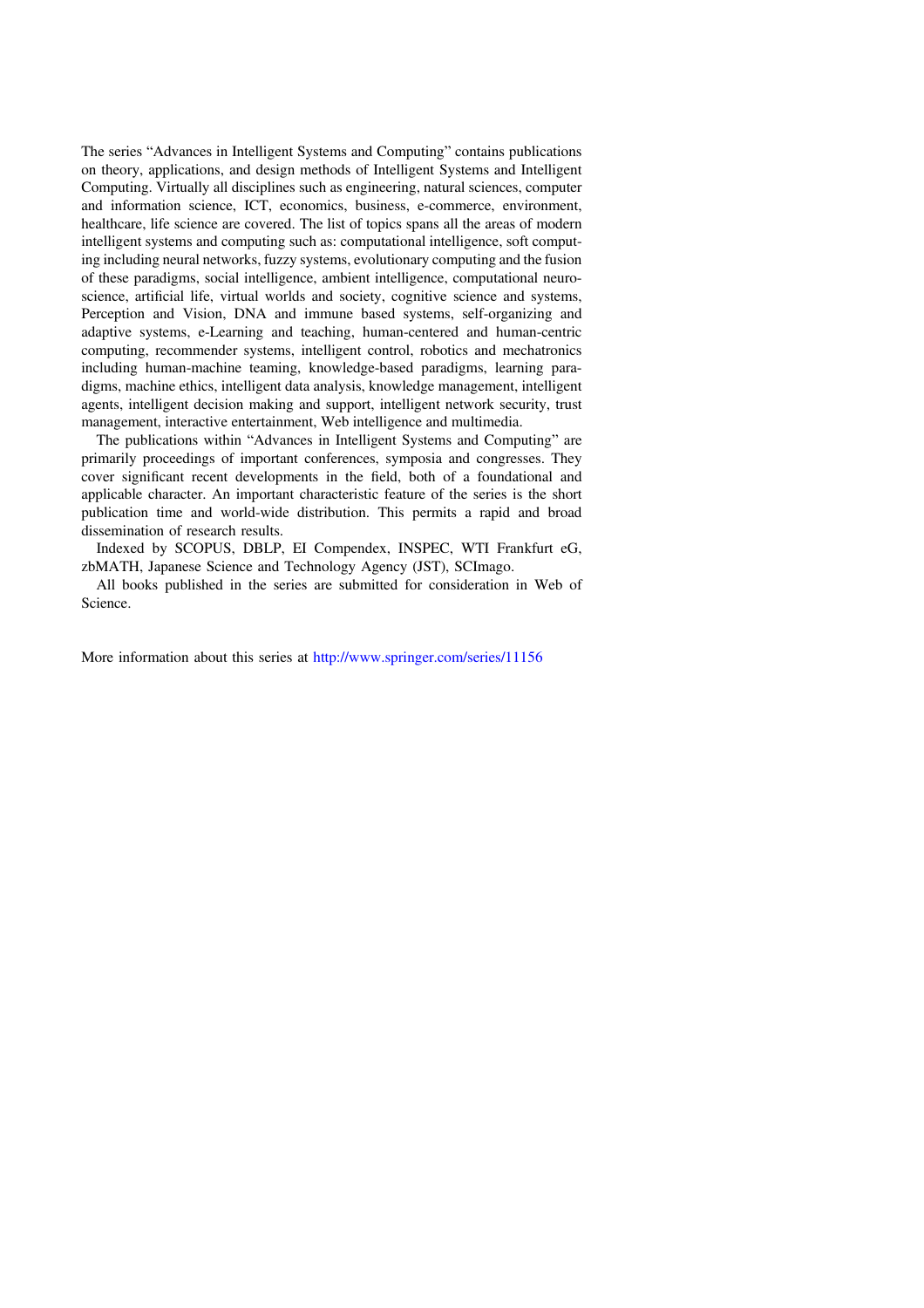The series "Advances in Intelligent Systems and Computing" contains publications on theory, applications, and design methods of Intelligent Systems and Intelligent Computing. Virtually all disciplines such as engineering, natural sciences, computer and information science, ICT, economics, business, e-commerce, environment, healthcare, life science are covered. The list of topics spans all the areas of modern intelligent systems and computing such as: computational intelligence, soft computing including neural networks, fuzzy systems, evolutionary computing and the fusion of these paradigms, social intelligence, ambient intelligence, computational neuroscience, artificial life, virtual worlds and society, cognitive science and systems, Perception and Vision, DNA and immune based systems, self-organizing and adaptive systems, e-Learning and teaching, human-centered and human-centric computing, recommender systems, intelligent control, robotics and mechatronics including human-machine teaming, knowledge-based paradigms, learning paradigms, machine ethics, intelligent data analysis, knowledge management, intelligent agents, intelligent decision making and support, intelligent network security, trust management, interactive entertainment, Web intelligence and multimedia.

The publications within "Advances in Intelligent Systems and Computing" are primarily proceedings of important conferences, symposia and congresses. They cover significant recent developments in the field, both of a foundational and applicable character. An important characteristic feature of the series is the short publication time and world-wide distribution. This permits a rapid and broad dissemination of research results.

Indexed by SCOPUS, DBLP, EI Compendex, INSPEC, WTI Frankfurt eG, zbMATH, Japanese Science and Technology Agency (JST), SCImago.

All books published in the series are submitted for consideration in Web of Science.

More information about this series at http://www.springer.com/series/11156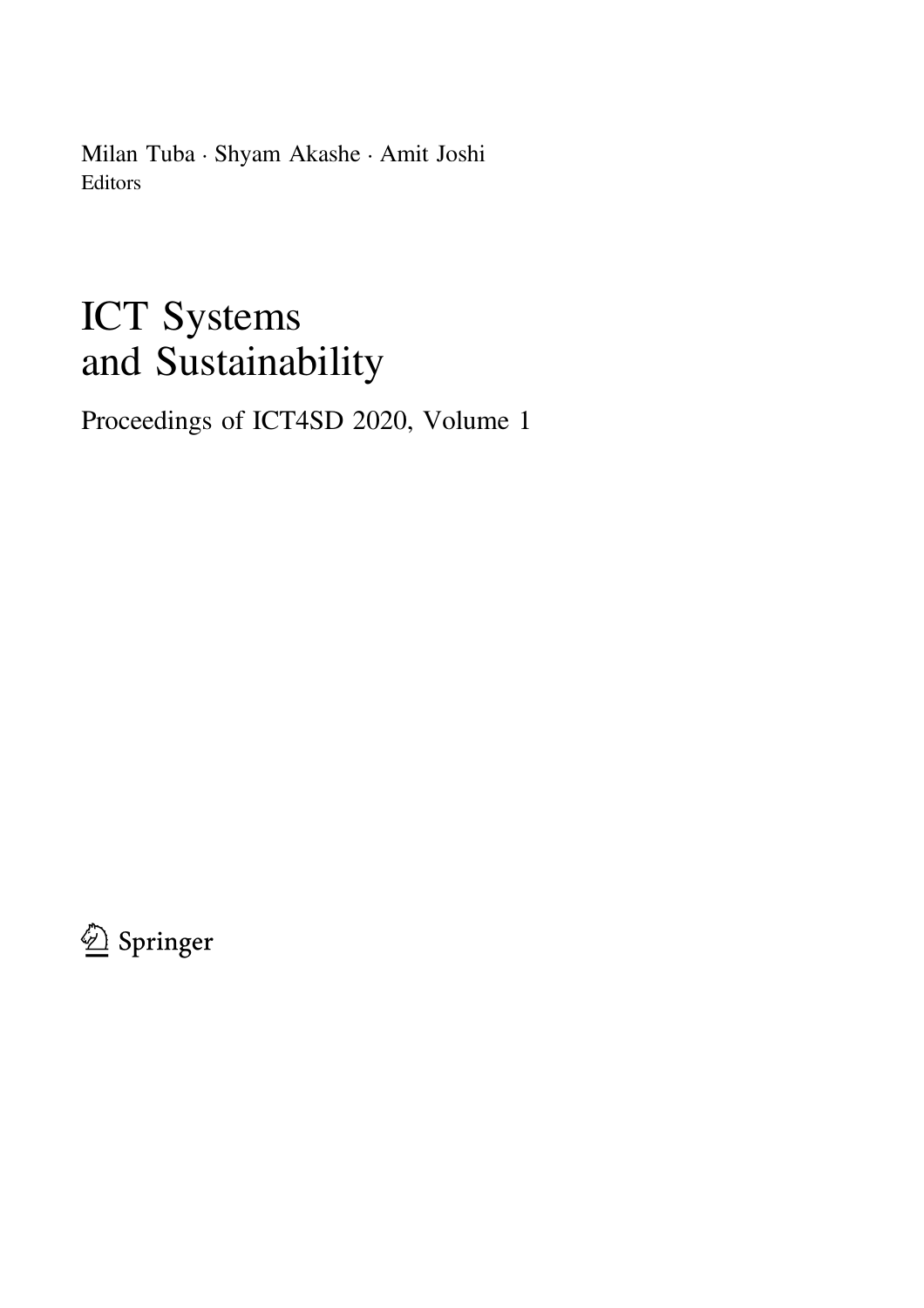Milan Tuba • Shyam Akashe • Amit Joshi Editors

# ICT Systems and Sustainability

Proceedings of ICT4SD 2020, Volume 1

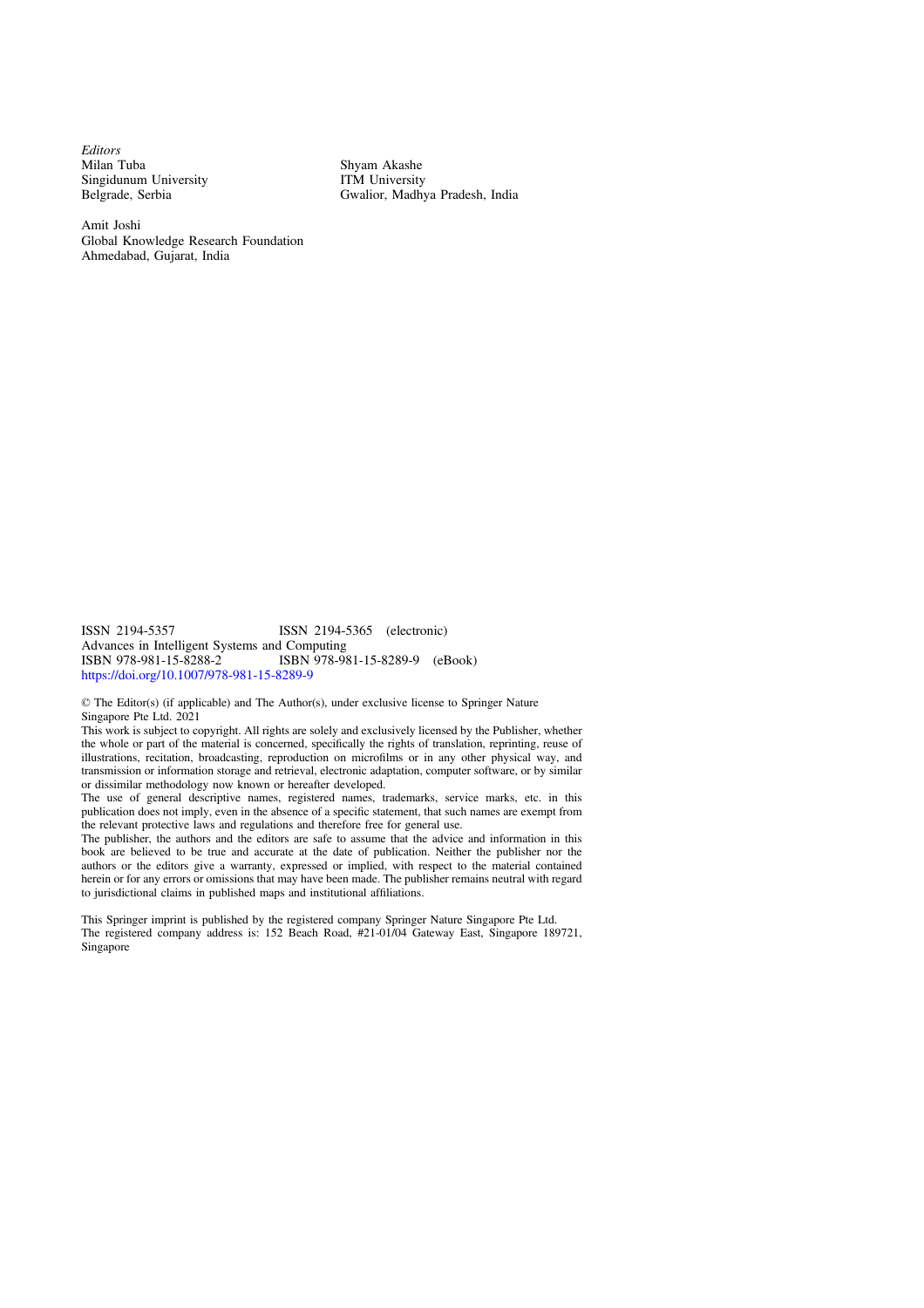Editors Milan Tuba Singidunum University Belgrade, Serbia

Shyam Akashe ITM University Gwalior, Madhya Pradesh, India

Amit Joshi Global Knowledge Research Foundation Ahmedabad, Gujarat, India

ISSN 2194-5357 ISSN 2194-5365 (electronic) Advances in Intelligent Systems and Computing<br>ISBN 978-981-15-8288-2<br>ISBN 978-98 ISBN 978-981-15-8289-9 (eBook) https://doi.org/10.1007/978-981-15-8289-9

© The Editor(s) (if applicable) and The Author(s), under exclusive license to Springer Nature Singapore Pte Ltd. 2021

This work is subject to copyright. All rights are solely and exclusively licensed by the Publisher, whether the whole or part of the material is concerned, specifically the rights of translation, reprinting, reuse of illustrations, recitation, broadcasting, reproduction on microfilms or in any other physical way, and transmission or information storage and retrieval, electronic adaptation, computer software, or by similar or dissimilar methodology now known or hereafter developed.

The use of general descriptive names, registered names, trademarks, service marks, etc. in this publication does not imply, even in the absence of a specific statement, that such names are exempt from the relevant protective laws and regulations and therefore free for general use.

The publisher, the authors and the editors are safe to assume that the advice and information in this book are believed to be true and accurate at the date of publication. Neither the publisher nor the authors or the editors give a warranty, expressed or implied, with respect to the material contained herein or for any errors or omissions that may have been made. The publisher remains neutral with regard to jurisdictional claims in published maps and institutional affiliations.

This Springer imprint is published by the registered company Springer Nature Singapore Pte Ltd. The registered company address is: 152 Beach Road, #21-01/04 Gateway East, Singapore 189721, Singapore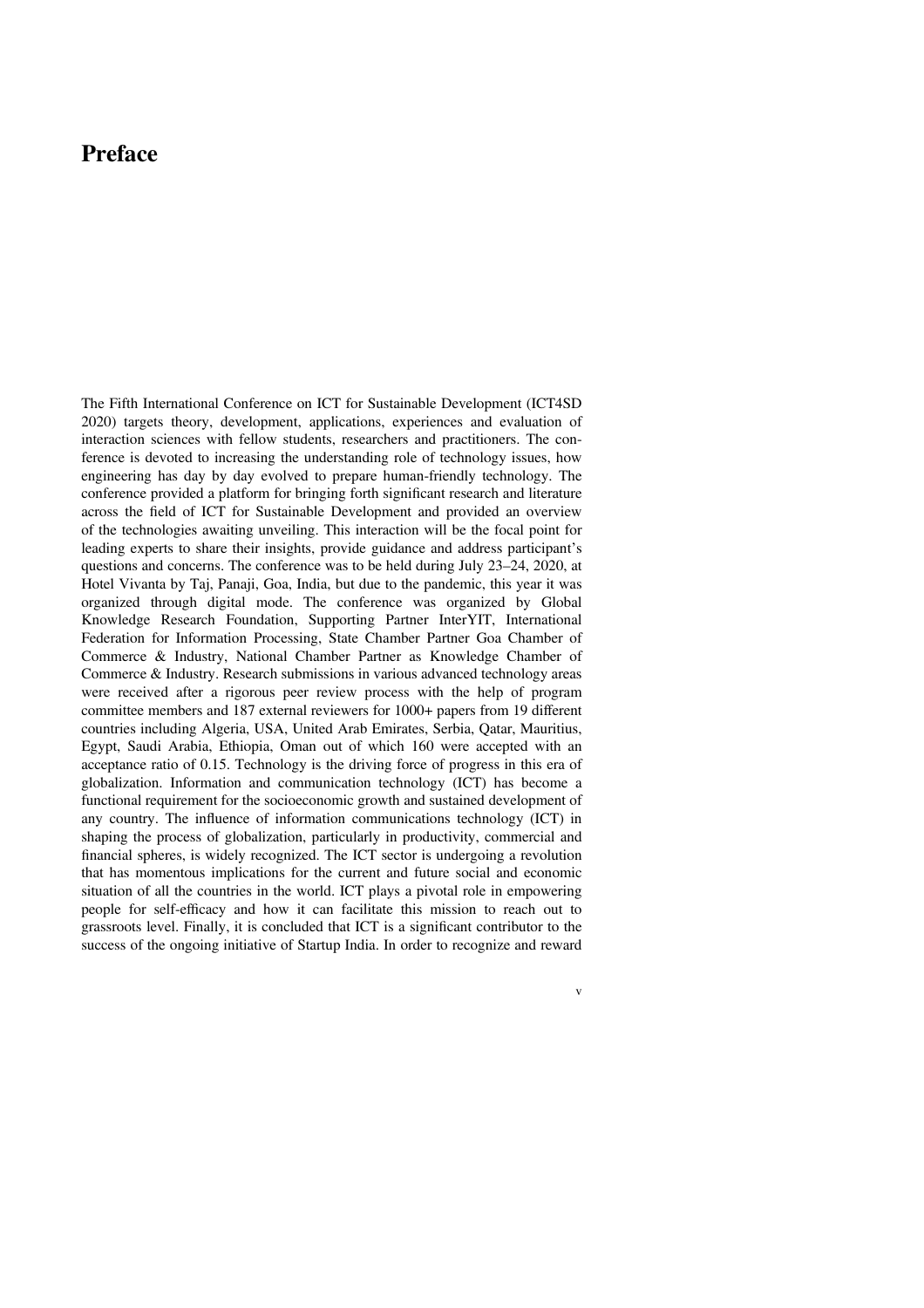### Preface

The Fifth International Conference on ICT for Sustainable Development (ICT4SD 2020) targets theory, development, applications, experiences and evaluation of interaction sciences with fellow students, researchers and practitioners. The conference is devoted to increasing the understanding role of technology issues, how engineering has day by day evolved to prepare human-friendly technology. The conference provided a platform for bringing forth significant research and literature across the field of ICT for Sustainable Development and provided an overview of the technologies awaiting unveiling. This interaction will be the focal point for leading experts to share their insights, provide guidance and address participant's questions and concerns. The conference was to be held during July 23–24, 2020, at Hotel Vivanta by Taj, Panaji, Goa, India, but due to the pandemic, this year it was organized through digital mode. The conference was organized by Global Knowledge Research Foundation, Supporting Partner InterYIT, International Federation for Information Processing, State Chamber Partner Goa Chamber of Commerce & Industry, National Chamber Partner as Knowledge Chamber of Commerce & Industry. Research submissions in various advanced technology areas were received after a rigorous peer review process with the help of program committee members and 187 external reviewers for 1000+ papers from 19 different countries including Algeria, USA, United Arab Emirates, Serbia, Qatar, Mauritius, Egypt, Saudi Arabia, Ethiopia, Oman out of which 160 were accepted with an acceptance ratio of 0.15. Technology is the driving force of progress in this era of globalization. Information and communication technology (ICT) has become a functional requirement for the socioeconomic growth and sustained development of any country. The influence of information communications technology (ICT) in shaping the process of globalization, particularly in productivity, commercial and financial spheres, is widely recognized. The ICT sector is undergoing a revolution that has momentous implications for the current and future social and economic situation of all the countries in the world. ICT plays a pivotal role in empowering people for self-efficacy and how it can facilitate this mission to reach out to grassroots level. Finally, it is concluded that ICT is a significant contributor to the success of the ongoing initiative of Startup India. In order to recognize and reward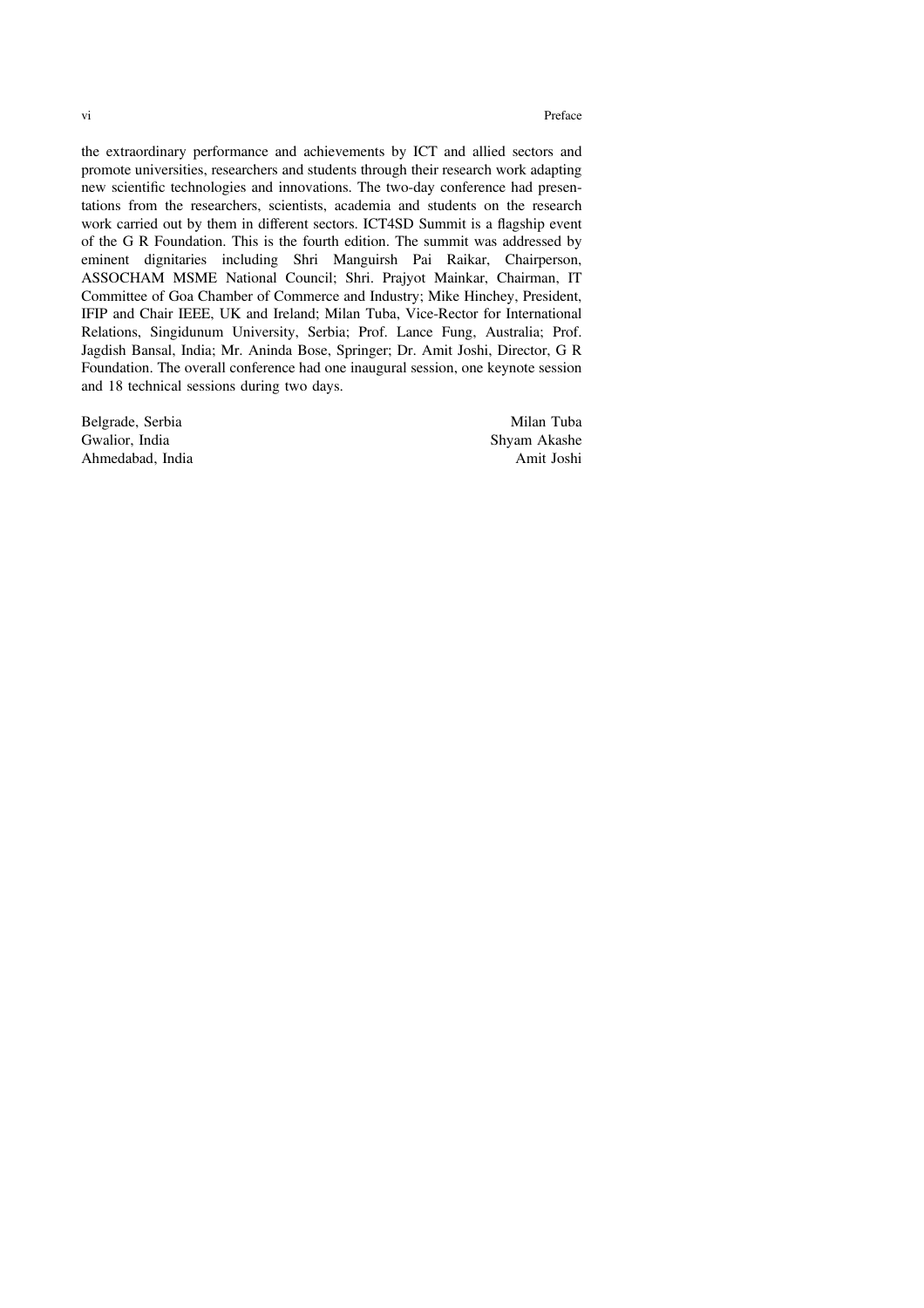vi and the contract of the contract of the contract of the contract of the contract of the contract of the contract of the contract of the contract of the contract of the contract of the contract of the contract of the con

the extraordinary performance and achievements by ICT and allied sectors and promote universities, researchers and students through their research work adapting new scientific technologies and innovations. The two-day conference had presentations from the researchers, scientists, academia and students on the research work carried out by them in different sectors. ICT4SD Summit is a flagship event of the G R Foundation. This is the fourth edition. The summit was addressed by eminent dignitaries including Shri Manguirsh Pai Raikar, Chairperson, ASSOCHAM MSME National Council; Shri. Prajyot Mainkar, Chairman, IT Committee of Goa Chamber of Commerce and Industry; Mike Hinchey, President, IFIP and Chair IEEE, UK and Ireland; Milan Tuba, Vice-Rector for International Relations, Singidunum University, Serbia; Prof. Lance Fung, Australia; Prof. Jagdish Bansal, India; Mr. Aninda Bose, Springer; Dr. Amit Joshi, Director, G R Foundation. The overall conference had one inaugural session, one keynote session and 18 technical sessions during two days.

Belgrade, Serbia Milan Tuba Gwalior, India and Shyam Akashe<br>Ahmedabad, India and Shyam Akashe<br>Amit Joshi Ahmedabad, India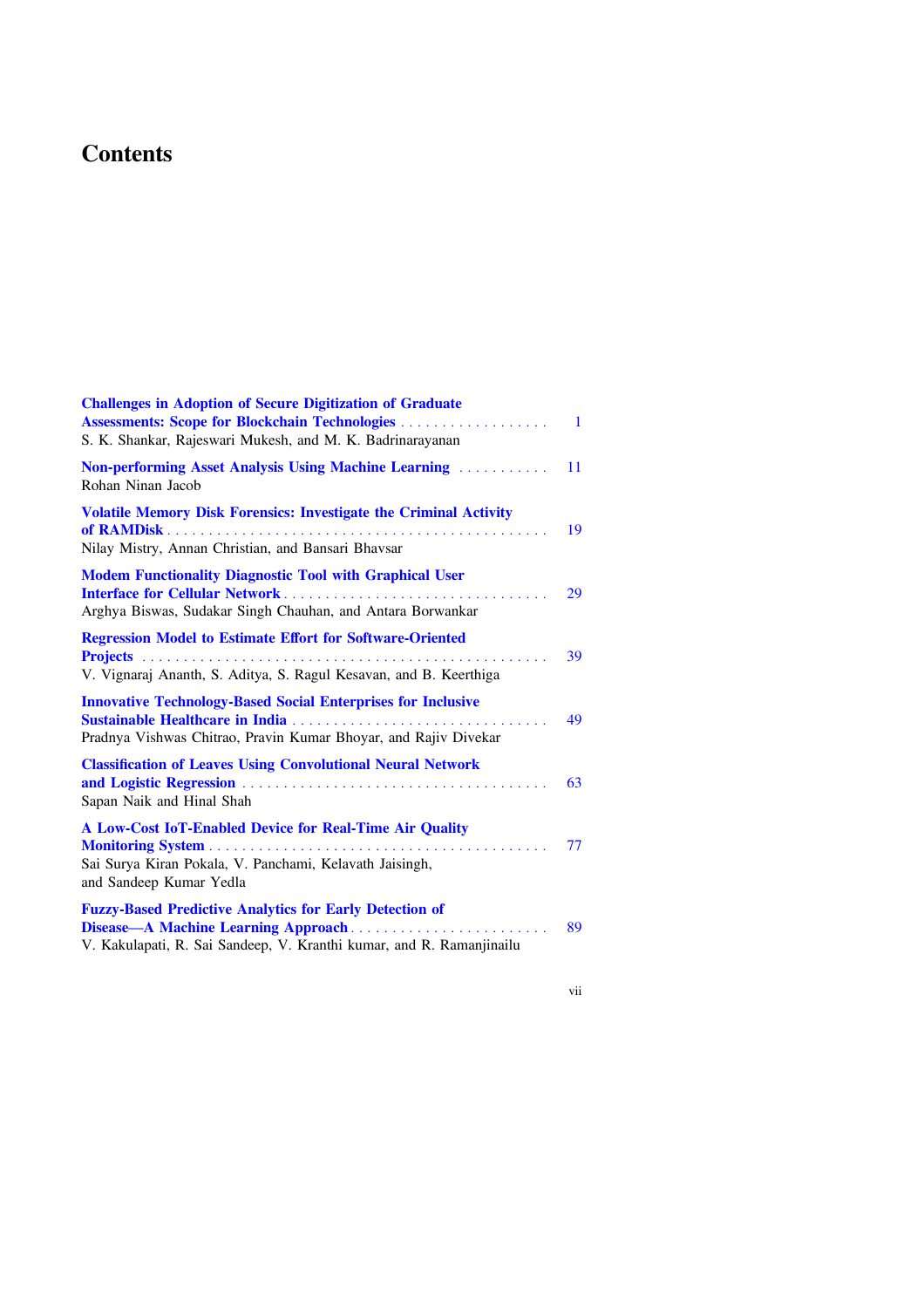# **Contents**

| <b>Challenges in Adoption of Secure Digitization of Graduate</b><br><b>Assessments: Scope for Blockchain Technologies</b><br>S. K. Shankar, Rajeswari Mukesh, and M. K. Badrinarayanan | $\blacksquare$ |
|----------------------------------------------------------------------------------------------------------------------------------------------------------------------------------------|----------------|
| <b>Non-performing Asset Analysis Using Machine Learning Machine I.</b><br>Rohan Ninan Jacob                                                                                            | 11             |
| <b>Volatile Memory Disk Forensics: Investigate the Criminal Activity</b><br>Nilay Mistry, Annan Christian, and Bansari Bhavsar                                                         | 19             |
| <b>Modem Functionality Diagnostic Tool with Graphical User</b><br><b>Interface for Cellular Network</b><br>Arghya Biswas, Sudakar Singh Chauhan, and Antara Borwankar                  | 29             |
| <b>Regression Model to Estimate Effort for Software-Oriented</b><br>V. Vignaraj Ananth, S. Aditya, S. Ragul Kesavan, and B. Keerthiga                                                  | 39             |
| <b>Innovative Technology-Based Social Enterprises for Inclusive</b><br>Pradnya Vishwas Chitrao, Pravin Kumar Bhoyar, and Rajiv Divekar                                                 | 49             |
| <b>Classification of Leaves Using Convolutional Neural Network</b><br>Sapan Naik and Hinal Shah                                                                                        | 63             |
| A Low-Cost IoT-Enabled Device for Real-Time Air Quality<br>Sai Surya Kiran Pokala, V. Panchami, Kelavath Jaisingh,<br>and Sandeep Kumar Yedla                                          | 77             |
| <b>Fuzzy-Based Predictive Analytics for Early Detection of</b><br>Disease—A Machine Learning Approach<br>V. Kakulapati, R. Sai Sandeep, V. Kranthi kumar, and R. Ramanjinailu          | 89             |

vii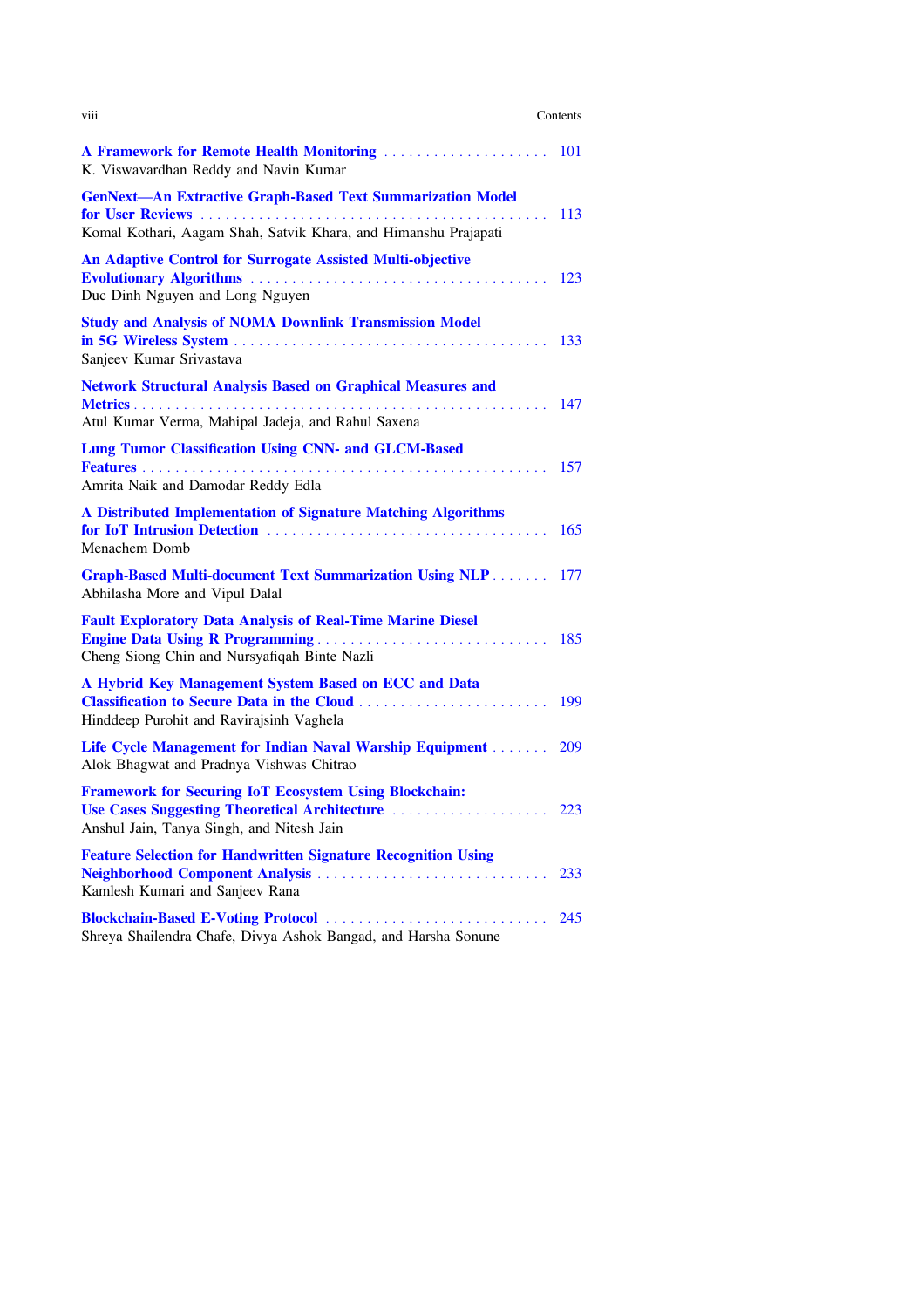| <b>V111</b>                                                                                                                          | Contents   |
|--------------------------------------------------------------------------------------------------------------------------------------|------------|
| A Framework for Remote Health Monitoring<br>K. Viswavardhan Reddy and Navin Kumar                                                    | <b>101</b> |
| <b>GenNext-An Extractive Graph-Based Text Summarization Model</b><br>Komal Kothari, Aagam Shah, Satvik Khara, and Himanshu Prajapati | 113        |
| <b>An Adaptive Control for Surrogate Assisted Multi-objective</b><br>Duc Dinh Nguyen and Long Nguyen                                 |            |
| <b>Study and Analysis of NOMA Downlink Transmission Model</b><br>Sanjeev Kumar Srivastava                                            | 133        |
| <b>Network Structural Analysis Based on Graphical Measures and</b><br>Atul Kumar Verma, Mahipal Jadeja, and Rahul Saxena             | 147        |
| <b>Lung Tumor Classification Using CNN- and GLCM-Based</b><br>Amrita Naik and Damodar Reddy Edla                                     | 157        |
| A Distributed Implementation of Signature Matching Algorithms<br>Menachem Domb                                                       | 165        |
| <b>Graph-Based Multi-document Text Summarization Using NLP</b><br>Abhilasha More and Vipul Dalal                                     | 177        |
| <b>Fault Exploratory Data Analysis of Real-Time Marine Diesel</b><br>Cheng Siong Chin and Nursyafiqah Binte Nazli                    |            |
| A Hybrid Key Management System Based on ECC and Data<br>Hinddeep Purohit and Ravirajsinh Vaghela                                     | 199        |
| Life Cycle Management for Indian Naval Warship Equipment<br>Alok Bhagwat and Pradnya Vishwas Chitrao                                 | 209        |
| <b>Framework for Securing IoT Ecosystem Using Blockchain:</b><br>Anshul Jain, Tanya Singh, and Nitesh Jain                           |            |
| <b>Feature Selection for Handwritten Signature Recognition Using</b><br>Kamlesh Kumari and Sanjeev Rana                              | 233        |
| Blockchain-Based E-Voting Protocol<br>Shreya Shailendra Chafe, Divya Ashok Bangad, and Harsha Sonune                                 | 245        |
|                                                                                                                                      |            |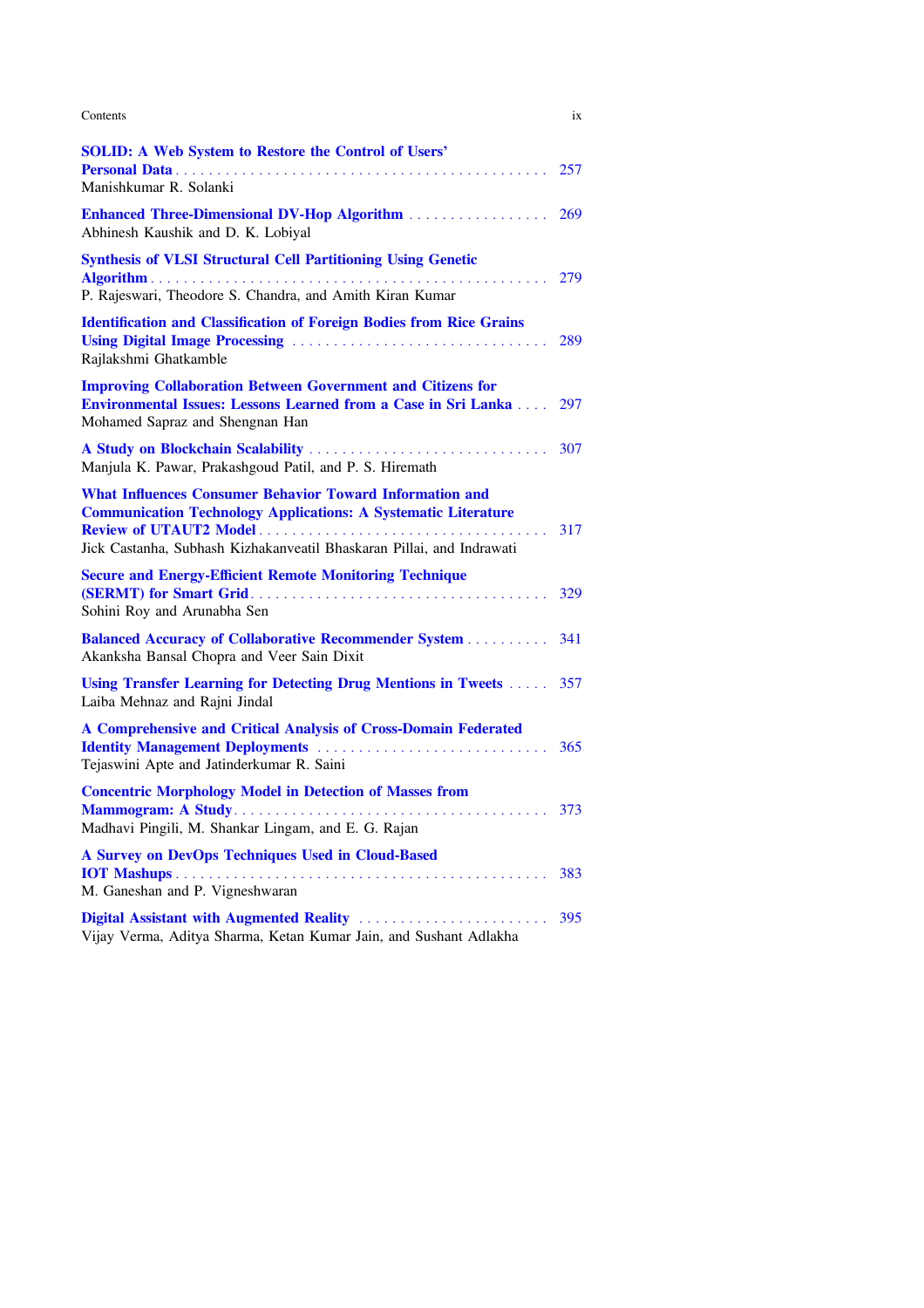| Contents                                                                                                                                                                                                          | 1X  |
|-------------------------------------------------------------------------------------------------------------------------------------------------------------------------------------------------------------------|-----|
| <b>SOLID: A Web System to Restore the Control of Users'</b><br>Manishkumar R. Solanki                                                                                                                             | 257 |
| <b>Enhanced Three-Dimensional DV-Hop Algorithm </b><br>Abhinesh Kaushik and D. K. Lobiyal                                                                                                                         | 269 |
| <b>Synthesis of VLSI Structural Cell Partitioning Using Genetic</b><br>P. Rajeswari, Theodore S. Chandra, and Amith Kiran Kumar                                                                                   | 279 |
| <b>Identification and Classification of Foreign Bodies from Rice Grains</b><br>Rajlakshmi Ghatkamble                                                                                                              | 289 |
| <b>Improving Collaboration Between Government and Citizens for</b><br><b>Environmental Issues: Lessons Learned from a Case in Sri Lanka</b><br>Mohamed Sapraz and Shengnan Han                                    | 297 |
| Manjula K. Pawar, Prakashgoud Patil, and P. S. Hiremath                                                                                                                                                           | 307 |
| <b>What Influences Consumer Behavior Toward Information and</b><br><b>Communication Technology Applications: A Systematic Literature</b><br>Jick Castanha, Subhash Kizhakanveatil Bhaskaran Pillai, and Indrawati | 317 |
| <b>Secure and Energy-Efficient Remote Monitoring Technique</b><br>Sohini Roy and Arunabha Sen                                                                                                                     | 329 |
| <b>Balanced Accuracy of Collaborative Recommender System</b><br>Akanksha Bansal Chopra and Veer Sain Dixit                                                                                                        | 341 |
| Using Transfer Learning for Detecting Drug Mentions in Tweets  357<br>Laiba Mehnaz and Rajni Jindal                                                                                                               |     |
| A Comprehensive and Critical Analysis of Cross-Domain Federated<br><b>Identity Management Deployments</b><br>Tejaswini Apte and Jatinderkumar R. Saini                                                            | 365 |
| <b>Concentric Morphology Model in Detection of Masses from</b><br>Madhavi Pingili, M. Shankar Lingam, and E. G. Rajan                                                                                             | 373 |
| A Survey on DevOps Techniques Used in Cloud-Based<br>M. Ganeshan and P. Vigneshwaran                                                                                                                              | 383 |
| Vijay Verma, Aditya Sharma, Ketan Kumar Jain, and Sushant Adlakha                                                                                                                                                 | 395 |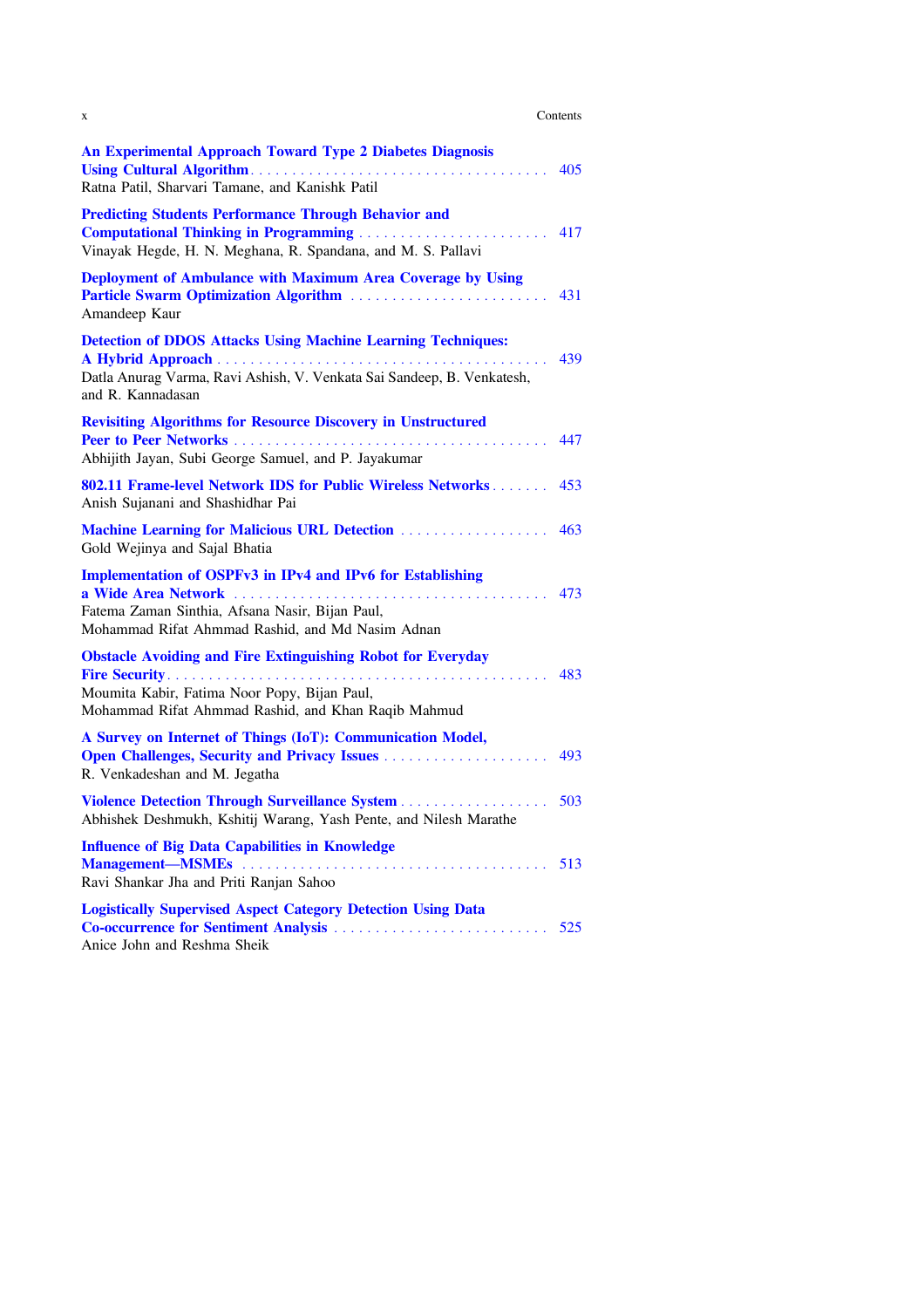| Contents |  |
|----------|--|
|----------|--|

| X                                                                                                                                                                            | Contents |
|------------------------------------------------------------------------------------------------------------------------------------------------------------------------------|----------|
| <b>An Experimental Approach Toward Type 2 Diabetes Diagnosis</b><br>Ratna Patil, Sharvari Tamane, and Kanishk Patil                                                          | 405      |
| <b>Predicting Students Performance Through Behavior and</b><br><b>Computational Thinking in Programming </b><br>Vinayak Hegde, H. N. Meghana, R. Spandana, and M. S. Pallavi | 417      |
| Deployment of Ambulance with Maximum Area Coverage by Using<br>Amandeep Kaur                                                                                                 | 431      |
| <b>Detection of DDOS Attacks Using Machine Learning Techniques:</b><br>Datla Anurag Varma, Ravi Ashish, V. Venkata Sai Sandeep, B. Venkatesh,<br>and R. Kannadasan           | 439      |
| <b>Revisiting Algorithms for Resource Discovery in Unstructured</b><br>Abhijith Jayan, Subi George Samuel, and P. Jayakumar                                                  |          |
| 802.11 Frame-level Network IDS for Public Wireless Networks<br>Anish Sujanani and Shashidhar Pai                                                                             | 453      |
| <b>Machine Learning for Malicious URL Detection </b><br>Gold Wejinya and Sajal Bhatia                                                                                        | 463      |
| <b>Implementation of OSPFv3 in IPv4 and IPv6 for Establishing</b><br>Fatema Zaman Sinthia, Afsana Nasir, Bijan Paul,<br>Mohammad Rifat Ahmmad Rashid, and Md Nasim Adnan     | 473      |
| <b>Obstacle Avoiding and Fire Extinguishing Robot for Everyday</b><br>Moumita Kabir, Fatima Noor Popy, Bijan Paul,<br>Mohammad Rifat Ahmmad Rashid, and Khan Raqib Mahmud    | 483      |
| A Survey on Internet of Things (IoT): Communication Model,<br>R. Venkadeshan and M. Jegatha                                                                                  | 493      |
| Violence Detection Through Surveillance System 503<br>Abhishek Deshmukh, Kshitij Warang, Yash Pente, and Nilesh Marathe                                                      |          |
| <b>Influence of Big Data Capabilities in Knowledge</b><br>Ravi Shankar Jha and Priti Ranjan Sahoo                                                                            | 513      |
| <b>Logistically Supervised Aspect Category Detection Using Data</b><br>Co-occurrence for Sentiment Analysis<br>Anice John and Reshma Sheik                                   | 525      |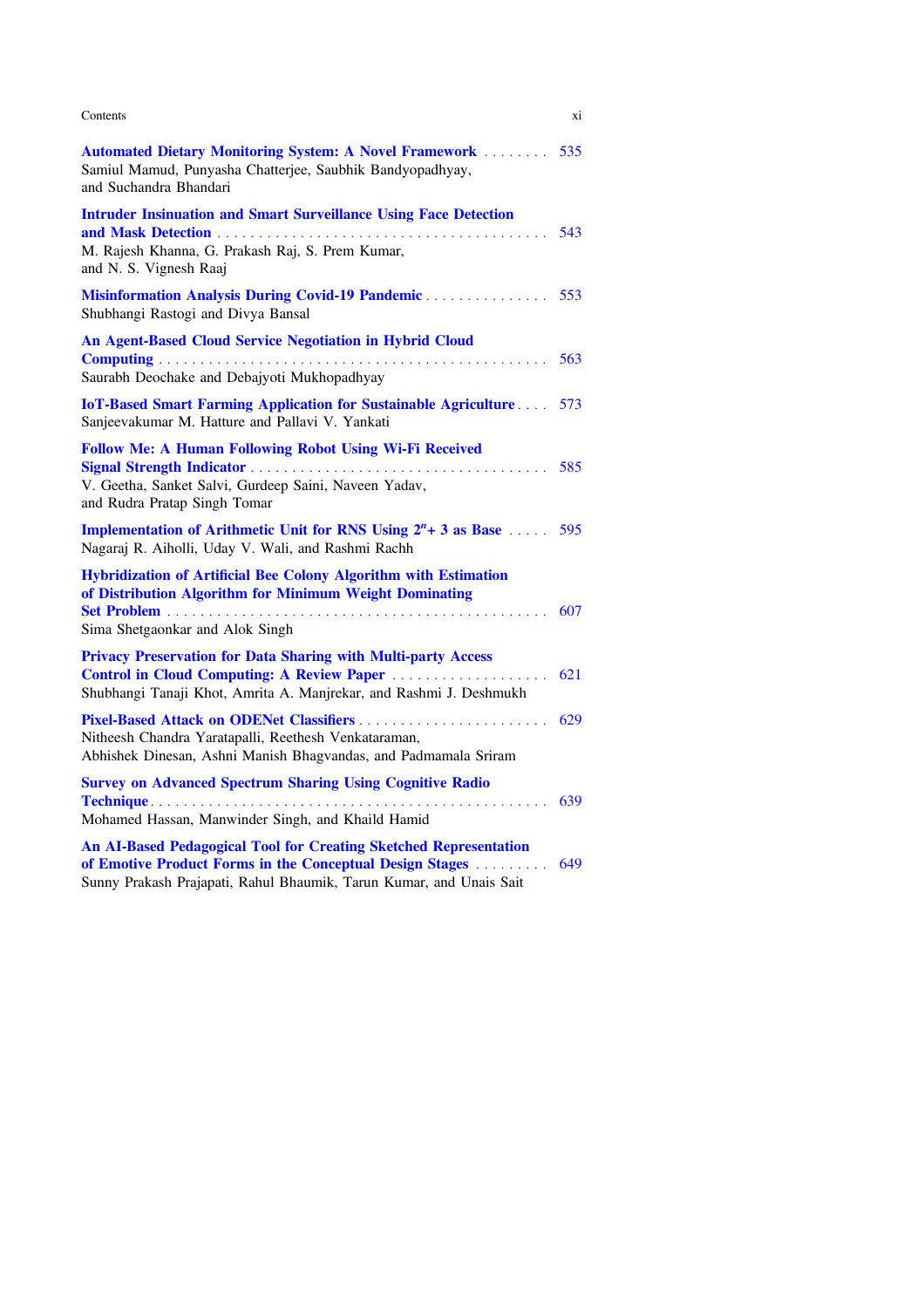| Contents                                                                                                                                                                                                    | X1  |
|-------------------------------------------------------------------------------------------------------------------------------------------------------------------------------------------------------------|-----|
| <b>Automated Dietary Monitoring System: A Novel Framework </b><br>Samiul Mamud, Punyasha Chatterjee, Saubhik Bandyopadhyay,<br>and Suchandra Bhandari                                                       | 535 |
| <b>Intruder Insinuation and Smart Surveillance Using Face Detection</b><br>M. Rajesh Khanna, G. Prakash Raj, S. Prem Kumar,<br>and N. S. Vignesh Raaj                                                       | 543 |
| Misinformation Analysis During Covid-19 Pandemic<br>Shubhangi Rastogi and Divya Bansal                                                                                                                      | 553 |
| An Agent-Based Cloud Service Negotiation in Hybrid Cloud<br>Saurabh Deochake and Debajyoti Mukhopadhyay                                                                                                     | 563 |
| <b>IoT-Based Smart Farming Application for Sustainable Agriculture</b><br>Sanjeevakumar M. Hatture and Pallavi V. Yankati                                                                                   | 573 |
| <b>Follow Me: A Human Following Robot Using Wi-Fi Received</b><br>V. Geetha, Sanket Salvi, Gurdeep Saini, Naveen Yadav,<br>and Rudra Pratap Singh Tomar                                                     | 585 |
| <b>Implementation of Arithmetic Unit for RNS Using <math>2^n + 3</math> as Base</b> 595<br>Nagaraj R. Aiholli, Uday V. Wali, and Rashmi Rachh                                                               |     |
| Hybridization of Artificial Bee Colony Algorithm with Estimation<br>of Distribution Algorithm for Minimum Weight Dominating<br>Sima Shetgaonkar and Alok Singh                                              | 607 |
| <b>Privacy Preservation for Data Sharing with Multi-party Access</b><br>Control in Cloud Computing: A Review Paper<br>Shubhangi Tanaji Khot, Amrita A. Manjrekar, and Rashmi J. Deshmukh                    | 621 |
| Nitheesh Chandra Yaratapalli, Reethesh Venkataraman,<br>Abhishek Dinesan, Ashni Manish Bhagvandas, and Padmamala Sriram                                                                                     | 629 |
| <b>Survey on Advanced Spectrum Sharing Using Cognitive Radio</b><br>Mohamed Hassan, Manwinder Singh, and Khaild Hamid                                                                                       | 639 |
| <b>An AI-Based Pedagogical Tool for Creating Sketched Representation</b><br>of Emotive Product Forms in the Conceptual Design Stages<br>Sunny Prakash Prajapati, Rahul Bhaumik, Tarun Kumar, and Unais Sait | 649 |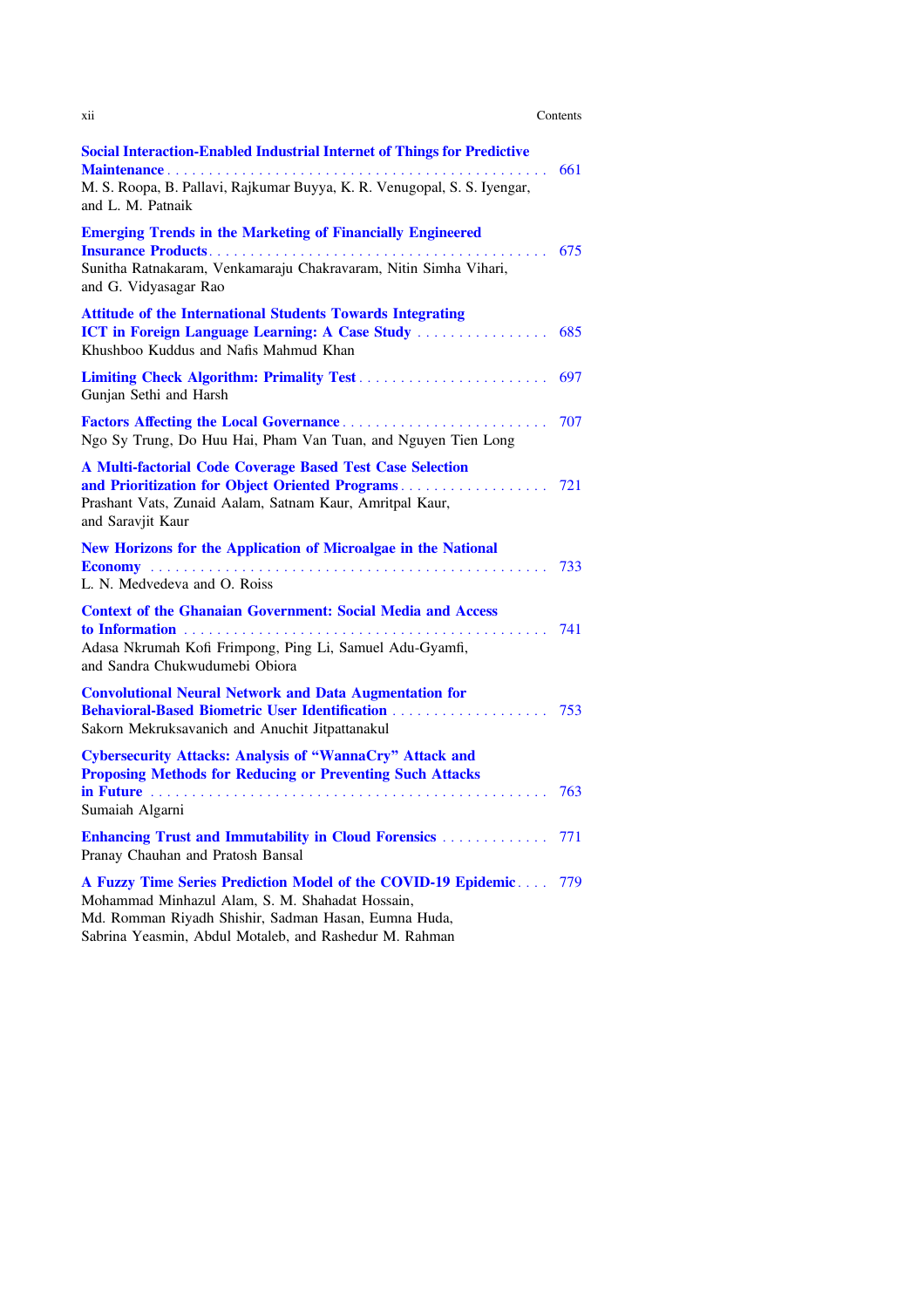| Contents |  |
|----------|--|
|----------|--|

| xii                                                                                                                                                                                                                                    | Contents |
|----------------------------------------------------------------------------------------------------------------------------------------------------------------------------------------------------------------------------------------|----------|
| <b>Social Interaction-Enabled Industrial Internet of Things for Predictive</b><br>M. S. Roopa, B. Pallavi, Rajkumar Buyya, K. R. Venugopal, S. S. Iyengar,<br>and L. M. Patnaik                                                        | 661      |
| <b>Emerging Trends in the Marketing of Financially Engineered</b><br>Sunitha Ratnakaram, Venkamaraju Chakravaram, Nitin Simha Vihari,<br>and G. Vidyasagar Rao                                                                         | 675      |
| <b>Attitude of the International Students Towards Integrating</b><br><b>ICT in Foreign Language Learning: A Case Study </b><br>Khushboo Kuddus and Nafis Mahmud Khan                                                                   | 685      |
| Gunjan Sethi and Harsh                                                                                                                                                                                                                 |          |
| Ngo Sy Trung, Do Huu Hai, Pham Van Tuan, and Nguyen Tien Long                                                                                                                                                                          | 707      |
| A Multi-factorial Code Coverage Based Test Case Selection<br>Prashant Vats, Zunaid Aalam, Satnam Kaur, Amritpal Kaur,<br>and Saravjit Kaur                                                                                             |          |
| New Horizons for the Application of Microalgae in the National<br>L. N. Medvedeva and O. Roiss                                                                                                                                         | 733      |
| <b>Context of the Ghanaian Government: Social Media and Access</b><br>Adasa Nkrumah Kofi Frimpong, Ping Li, Samuel Adu-Gyamfi,<br>and Sandra Chukwudumebi Obiora                                                                       | 741      |
| <b>Convolutional Neural Network and Data Augmentation for</b><br>Sakorn Mekruksavanich and Anuchit Jitpattanakul                                                                                                                       |          |
| <b>Cybersecurity Attacks: Analysis of "WannaCry" Attack and</b><br><b>Proposing Methods for Reducing or Preventing Such Attacks</b><br>Sumaiah Algarni                                                                                 | 763      |
| <b>Enhancing Trust and Immutability in Cloud Forensics </b><br>Pranay Chauhan and Pratosh Bansal                                                                                                                                       | 771      |
| A Fuzzy Time Series Prediction Model of the COVID-19 Epidemic 779<br>Mohammad Minhazul Alam, S. M. Shahadat Hossain,<br>Md. Romman Riyadh Shishir, Sadman Hasan, Eumna Huda,<br>Sabrina Yeasmin, Abdul Motaleb, and Rashedur M. Rahman |          |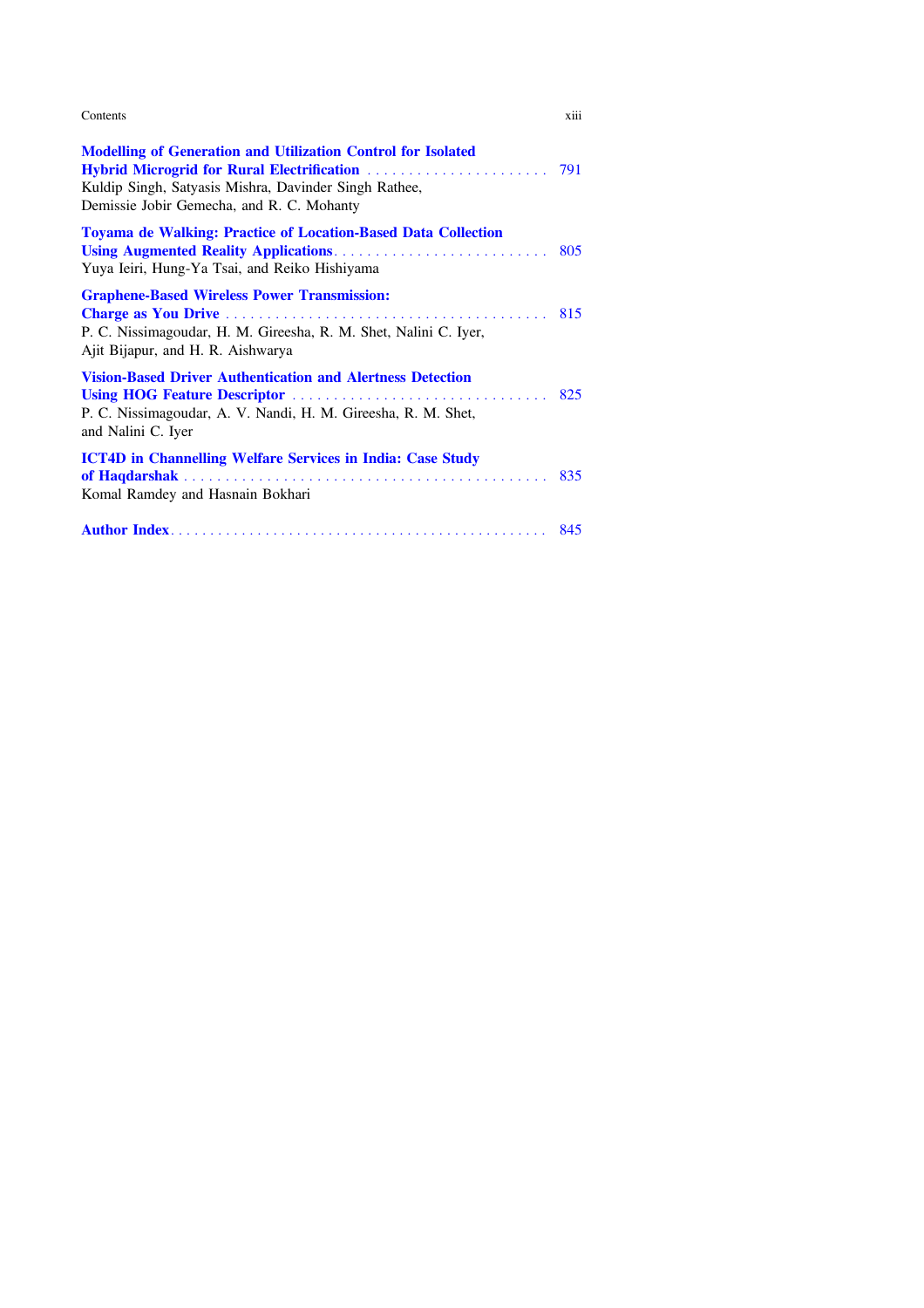| Contents<br>. | $\cdots$<br>X111 |
|---------------|------------------|
|               |                  |

| <b>Modelling of Generation and Utilization Control for Isolated</b><br>Kuldip Singh, Satyasis Mishra, Davinder Singh Rathee,<br>Demissie Jobir Gemecha, and R. C. Mohanty |  |
|---------------------------------------------------------------------------------------------------------------------------------------------------------------------------|--|
| <b>Toyama de Walking: Practice of Location-Based Data Collection</b><br>Yuya Ieiri, Hung-Ya Tsai, and Reiko Hishiyama                                                     |  |
| <b>Graphene-Based Wireless Power Transmission:</b><br>P. C. Nissimagoudar, H. M. Gireesha, R. M. Shet, Nalini C. Iyer,<br>Ajit Bijapur, and H. R. Aishwarya               |  |
| <b>Vision-Based Driver Authentication and Alertness Detection</b><br>P. C. Nissimagoudar, A. V. Nandi, H. M. Gireesha, R. M. Shet,<br>and Nalini C. Iyer                  |  |
| <b>ICT4D in Channelling Welfare Services in India: Case Study</b><br>Komal Ramdey and Hasnain Bokhari                                                                     |  |
|                                                                                                                                                                           |  |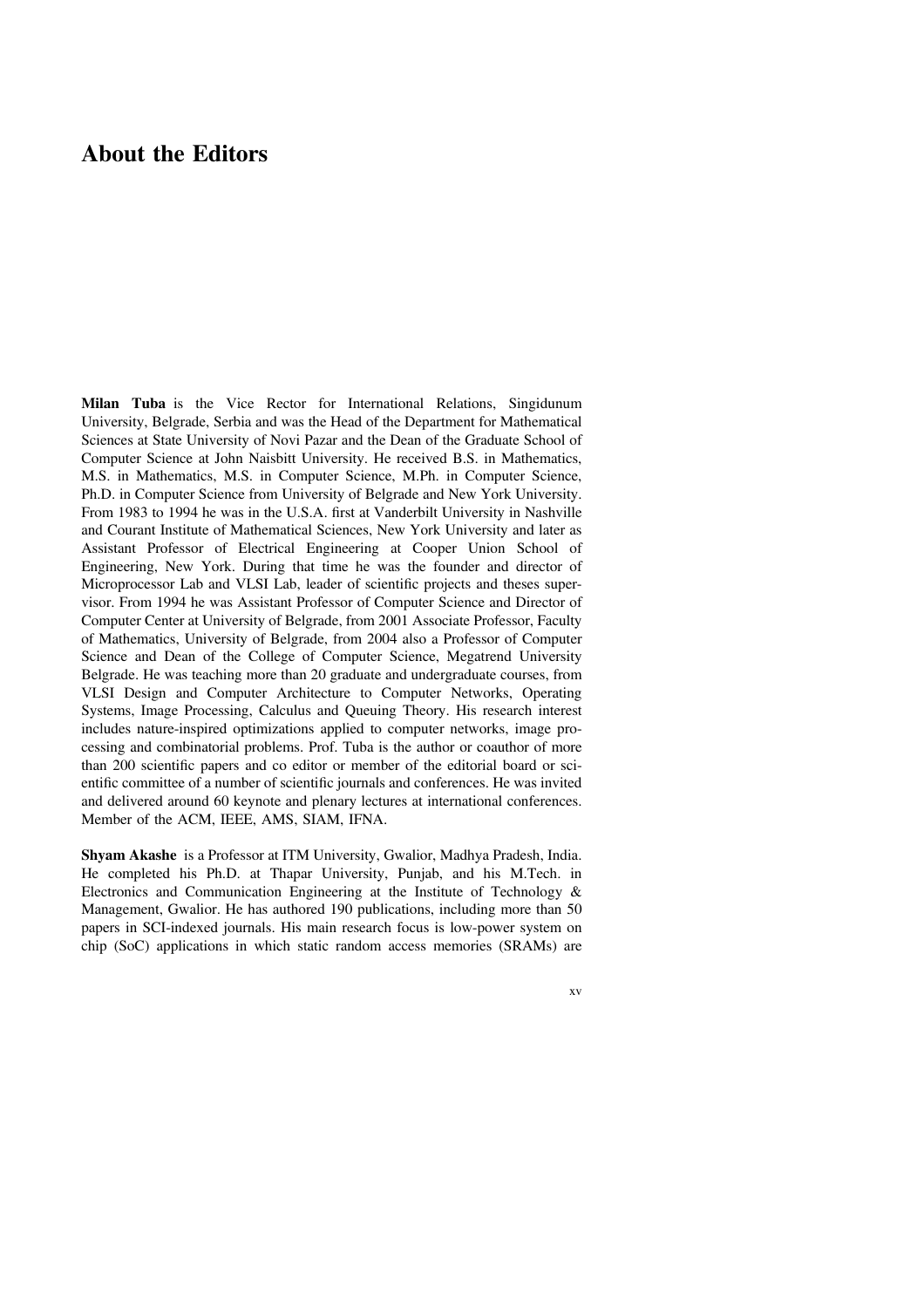### About the Editors

Milan Tuba is the Vice Rector for International Relations, Singidunum University, Belgrade, Serbia and was the Head of the Department for Mathematical Sciences at State University of Novi Pazar and the Dean of the Graduate School of Computer Science at John Naisbitt University. He received B.S. in Mathematics, M.S. in Mathematics, M.S. in Computer Science, M.Ph. in Computer Science, Ph.D. in Computer Science from University of Belgrade and New York University. From 1983 to 1994 he was in the U.S.A. first at Vanderbilt University in Nashville and Courant Institute of Mathematical Sciences, New York University and later as Assistant Professor of Electrical Engineering at Cooper Union School of Engineering, New York. During that time he was the founder and director of Microprocessor Lab and VLSI Lab, leader of scientific projects and theses supervisor. From 1994 he was Assistant Professor of Computer Science and Director of Computer Center at University of Belgrade, from 2001 Associate Professor, Faculty of Mathematics, University of Belgrade, from 2004 also a Professor of Computer Science and Dean of the College of Computer Science, Megatrend University Belgrade. He was teaching more than 20 graduate and undergraduate courses, from VLSI Design and Computer Architecture to Computer Networks, Operating Systems, Image Processing, Calculus and Queuing Theory. His research interest includes nature-inspired optimizations applied to computer networks, image processing and combinatorial problems. Prof. Tuba is the author or coauthor of more than 200 scientific papers and co editor or member of the editorial board or scientific committee of a number of scientific journals and conferences. He was invited and delivered around 60 keynote and plenary lectures at international conferences. Member of the ACM, IEEE, AMS, SIAM, IFNA.

Shyam Akashe is a Professor at ITM University, Gwalior, Madhya Pradesh, India. He completed his Ph.D. at Thapar University, Punjab, and his M.Tech. in Electronics and Communication Engineering at the Institute of Technology & Management, Gwalior. He has authored 190 publications, including more than 50 papers in SCI-indexed journals. His main research focus is low-power system on chip (SoC) applications in which static random access memories (SRAMs) are

xv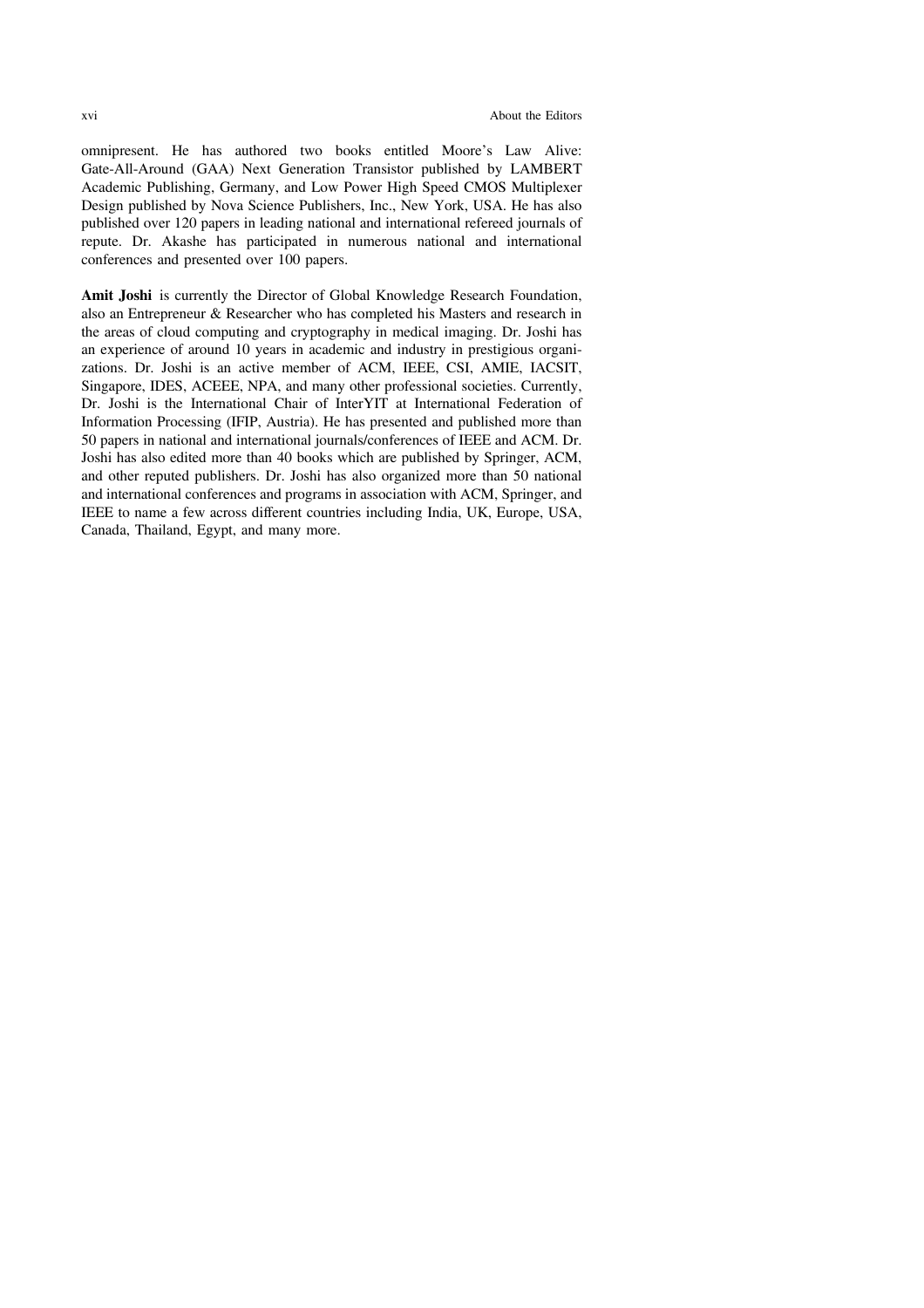omnipresent. He has authored two books entitled Moore's Law Alive: Gate-All-Around (GAA) Next Generation Transistor published by LAMBERT Academic Publishing, Germany, and Low Power High Speed CMOS Multiplexer Design published by Nova Science Publishers, Inc., New York, USA. He has also published over 120 papers in leading national and international refereed journals of repute. Dr. Akashe has participated in numerous national and international conferences and presented over 100 papers.

Amit Joshi is currently the Director of Global Knowledge Research Foundation, also an Entrepreneur & Researcher who has completed his Masters and research in the areas of cloud computing and cryptography in medical imaging. Dr. Joshi has an experience of around 10 years in academic and industry in prestigious organizations. Dr. Joshi is an active member of ACM, IEEE, CSI, AMIE, IACSIT, Singapore, IDES, ACEEE, NPA, and many other professional societies. Currently, Dr. Joshi is the International Chair of InterYIT at International Federation of Information Processing (IFIP, Austria). He has presented and published more than 50 papers in national and international journals/conferences of IEEE and ACM. Dr. Joshi has also edited more than 40 books which are published by Springer, ACM, and other reputed publishers. Dr. Joshi has also organized more than 50 national and international conferences and programs in association with ACM, Springer, and IEEE to name a few across different countries including India, UK, Europe, USA, Canada, Thailand, Egypt, and many more.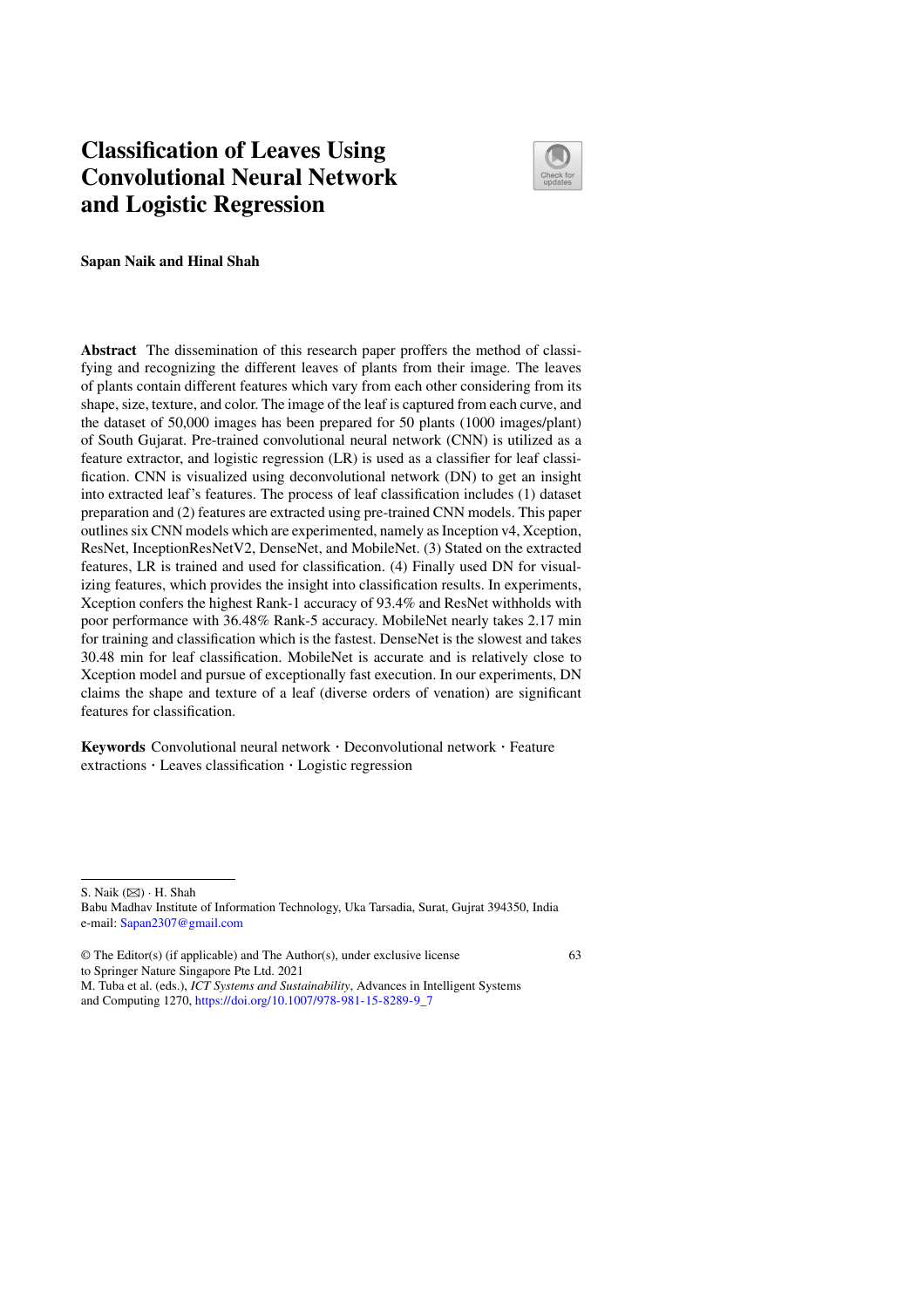# **Classification of Leaves Using Convolutional Neural Network and Logistic Regression**



63

**Sapan Naik and Hinal Shah**

**Abstract** The dissemination of this research paper proffers the method of classifying and recognizing the different leaves of plants from their image. The leaves of plants contain different features which vary from each other considering from its shape, size, texture, and color. The image of the leaf is captured from each curve, and the dataset of 50,000 images has been prepared for 50 plants (1000 images/plant) of South Gujarat. Pre-trained convolutional neural network (CNN) is utilized as a feature extractor, and logistic regression (LR) is used as a classifier for leaf classification. CNN is visualized using deconvolutional network (DN) to get an insight into extracted leaf's features. The process of leaf classification includes (1) dataset preparation and (2) features are extracted using pre-trained CNN models. This paper outlines six CNN models which are experimented, namely as Inception v4, Xception, ResNet, InceptionResNetV2, DenseNet, and MobileNet. (3) Stated on the extracted features, LR is trained and used for classification. (4) Finally used DN for visualizing features, which provides the insight into classification results. In experiments, Xception confers the highest Rank-1 accuracy of 93.4% and ResNet withholds with poor performance with 36.48% Rank-5 accuracy. MobileNet nearly takes 2.17 min for training and classification which is the fastest. DenseNet is the slowest and takes 30.48 min for leaf classification. MobileNet is accurate and is relatively close to Xception model and pursue of exceptionally fast execution. In our experiments, DN claims the shape and texture of a leaf (diverse orders of venation) are significant features for classification.

**Keywords** Convolutional neural network · Deconvolutional network · Feature extractions · Leaves classification · Logistic regression

S. Naik (⊠) · H. Shah

Babu Madhav Institute of Information Technology, Uka Tarsadia, Surat, Gujrat 394350, India e-mail: Sapan2307@gmail.com

<sup>©</sup> The Editor(s) (if applicable) and The Author(s), under exclusive license to Springer Nature Singapore Pte Ltd. 2021

M. Tuba et al. (eds.), *ICT Systems and Sustainability*, Advances in Intelligent Systems and Computing 1270, https://doi.org/10.1007/978-981-15-8289-9\_7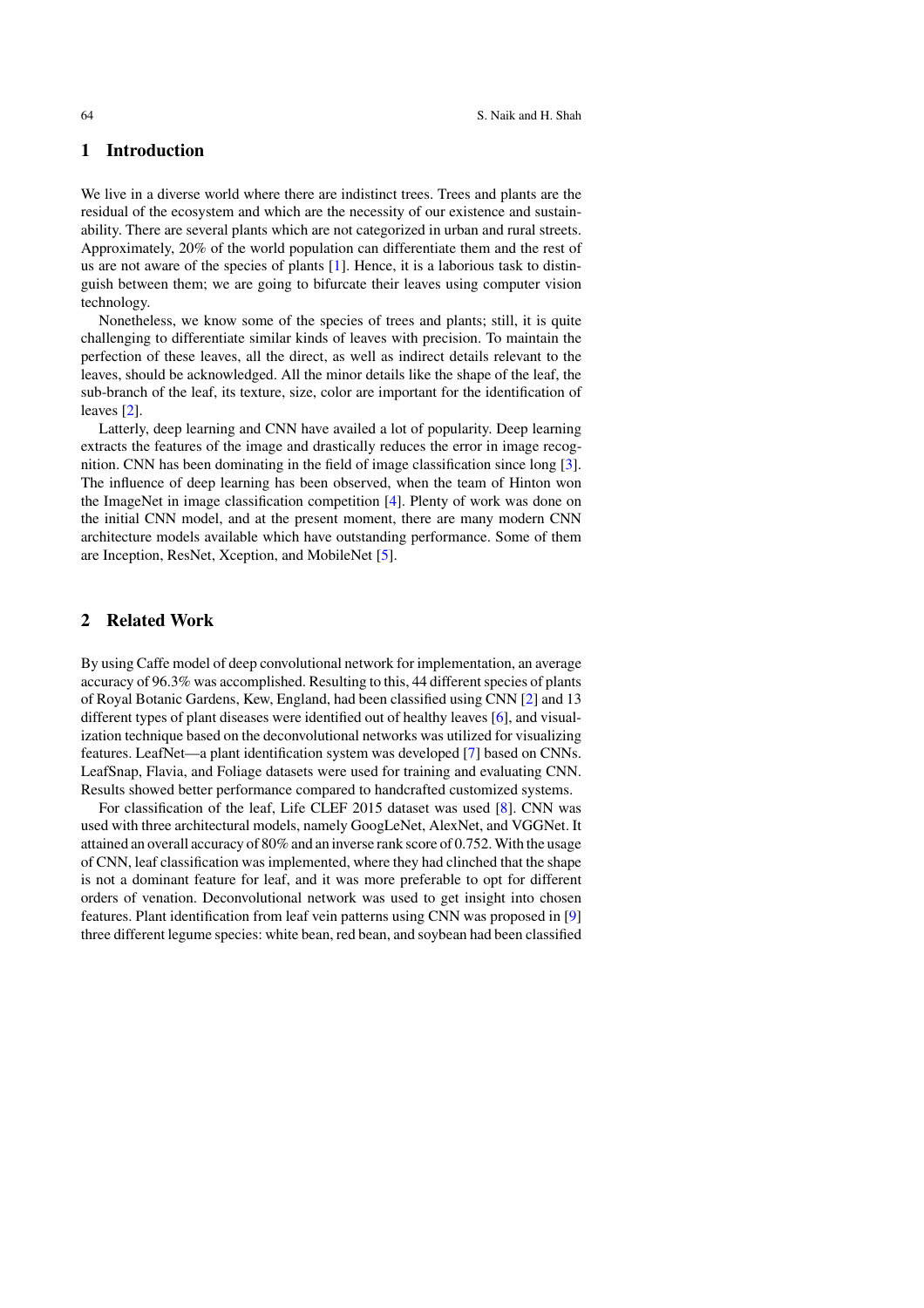### **1 Introduction**

We live in a diverse world where there are indistinct trees. Trees and plants are the residual of the ecosystem and which are the necessity of our existence and sustainability. There are several plants which are not categorized in urban and rural streets. Approximately, 20% of the world population can differentiate them and the rest of us are not aware of the species of plants [1]. Hence, it is a laborious task to distinguish between them; we are going to bifurcate their leaves using computer vision technology.

Nonetheless, we know some of the species of trees and plants; still, it is quite challenging to differentiate similar kinds of leaves with precision. To maintain the perfection of these leaves, all the direct, as well as indirect details relevant to the leaves, should be acknowledged. All the minor details like the shape of the leaf, the sub-branch of the leaf, its texture, size, color are important for the identification of leaves [2].

Latterly, deep learning and CNN have availed a lot of popularity. Deep learning extracts the features of the image and drastically reduces the error in image recognition. CNN has been dominating in the field of image classification since long [3]. The influence of deep learning has been observed, when the team of Hinton won the ImageNet in image classification competition [4]. Plenty of work was done on the initial CNN model, and at the present moment, there are many modern CNN architecture models available which have outstanding performance. Some of them are Inception, ResNet, Xception, and MobileNet [5].

### **2 Related Work**

By using Caffe model of deep convolutional network for implementation, an average accuracy of 96.3% was accomplished. Resulting to this, 44 different species of plants of Royal Botanic Gardens, Kew, England, had been classified using CNN [2] and 13 different types of plant diseases were identified out of healthy leaves [6], and visualization technique based on the deconvolutional networks was utilized for visualizing features. LeafNet—a plant identification system was developed [7] based on CNNs. LeafSnap, Flavia, and Foliage datasets were used for training and evaluating CNN. Results showed better performance compared to handcrafted customized systems.

For classification of the leaf, Life CLEF 2015 dataset was used [8]. CNN was used with three architectural models, namely GoogLeNet, AlexNet, and VGGNet. It attained an overall accuracy of 80% and an inverse rank score of 0.752.With the usage of CNN, leaf classification was implemented, where they had clinched that the shape is not a dominant feature for leaf, and it was more preferable to opt for different orders of venation. Deconvolutional network was used to get insight into chosen features. Plant identification from leaf vein patterns using CNN was proposed in [9] three different legume species: white bean, red bean, and soybean had been classified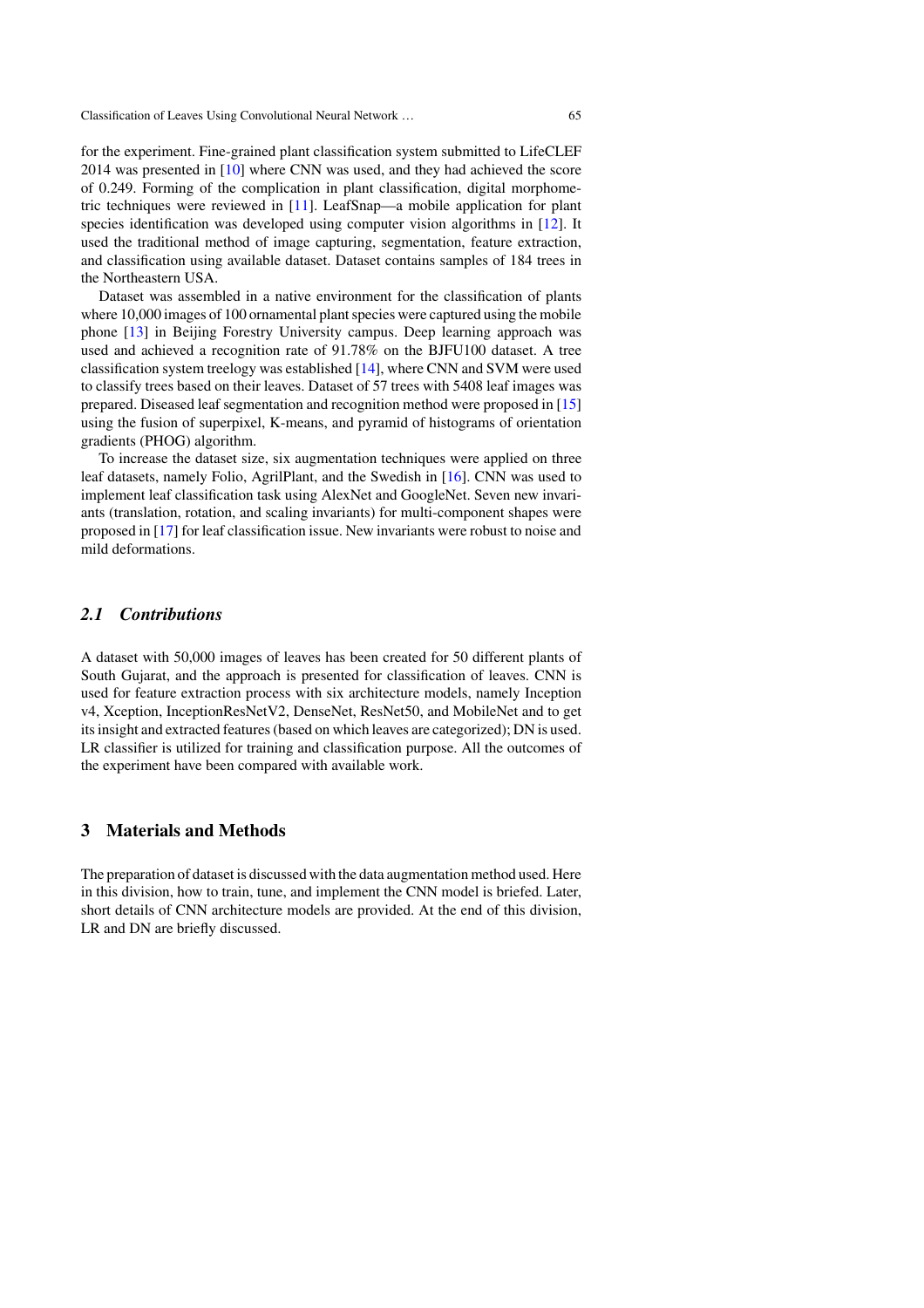for the experiment. Fine-grained plant classification system submitted to LifeCLEF 2014 was presented in [10] where CNN was used, and they had achieved the score of 0.249. Forming of the complication in plant classification, digital morphometric techniques were reviewed in [11]. LeafSnap—a mobile application for plant species identification was developed using computer vision algorithms in [12]. It used the traditional method of image capturing, segmentation, feature extraction, and classification using available dataset. Dataset contains samples of 184 trees in the Northeastern USA.

Dataset was assembled in a native environment for the classification of plants where 10,000 images of 100 ornamental plant species were captured using the mobile phone [13] in Beijing Forestry University campus. Deep learning approach was used and achieved a recognition rate of 91.78% on the BJFU100 dataset. A tree classification system treelogy was established [14], where CNN and SVM were used to classify trees based on their leaves. Dataset of 57 trees with 5408 leaf images was prepared. Diseased leaf segmentation and recognition method were proposed in [15] using the fusion of superpixel, K-means, and pyramid of histograms of orientation gradients (PHOG) algorithm.

To increase the dataset size, six augmentation techniques were applied on three leaf datasets, namely Folio, AgrilPlant, and the Swedish in [16]. CNN was used to implement leaf classification task using AlexNet and GoogleNet. Seven new invariants (translation, rotation, and scaling invariants) for multi-component shapes were proposed in [17] for leaf classification issue. New invariants were robust to noise and mild deformations.

### *2.1 Contributions*

A dataset with 50,000 images of leaves has been created for 50 different plants of South Gujarat, and the approach is presented for classification of leaves. CNN is used for feature extraction process with six architecture models, namely Inception v4, Xception, InceptionResNetV2, DenseNet, ResNet50, and MobileNet and to get its insight and extracted features (based on which leaves are categorized); DN is used. LR classifier is utilized for training and classification purpose. All the outcomes of the experiment have been compared with available work.

### **3 Materials and Methods**

The preparation of dataset is discussed with the data augmentation method used. Here in this division, how to train, tune, and implement the CNN model is briefed. Later, short details of CNN architecture models are provided. At the end of this division, LR and DN are briefly discussed.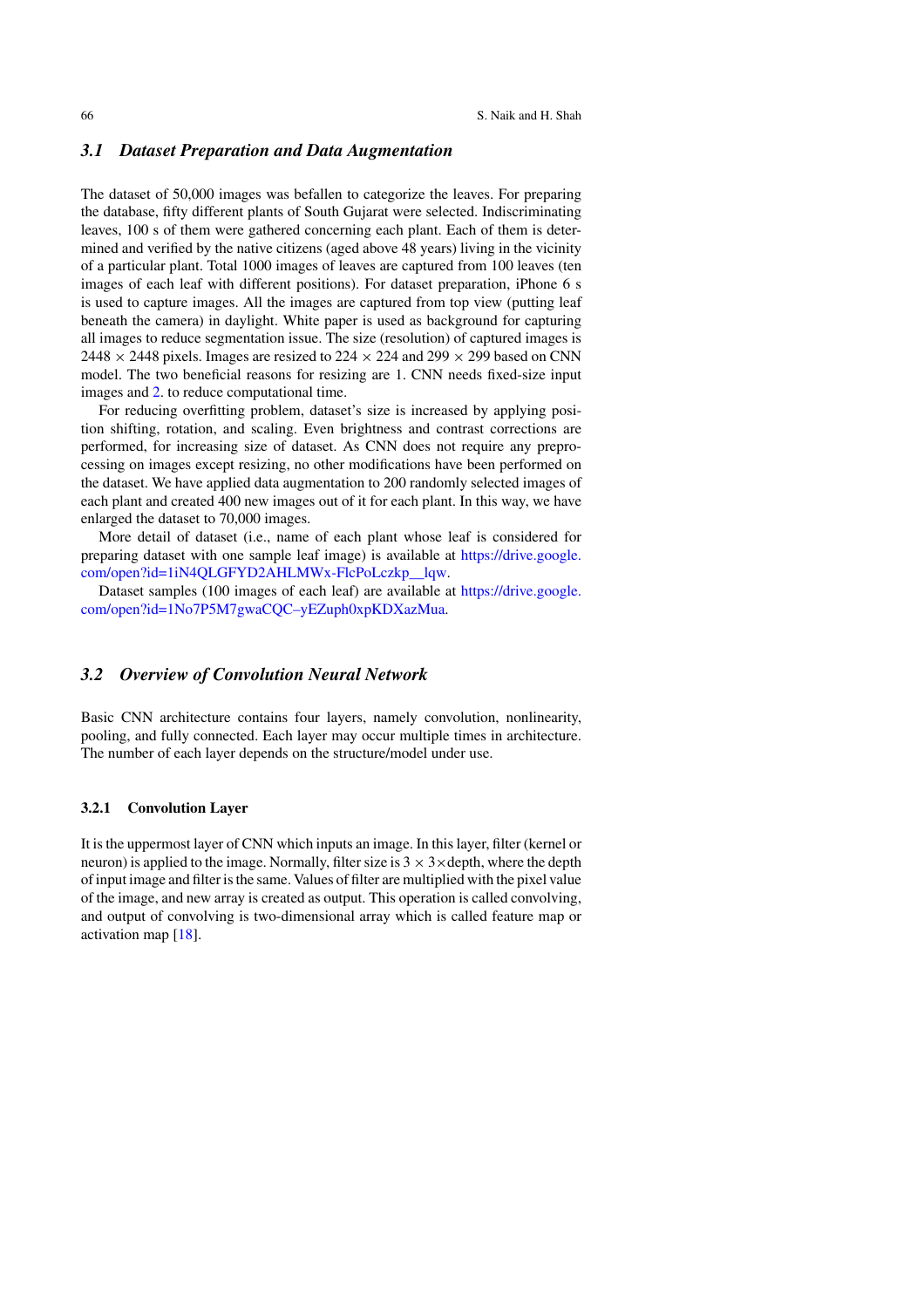### *3.1 Dataset Preparation and Data Augmentation*

The dataset of 50,000 images was befallen to categorize the leaves. For preparing the database, fifty different plants of South Gujarat were selected. Indiscriminating leaves, 100 s of them were gathered concerning each plant. Each of them is determined and verified by the native citizens (aged above 48 years) living in the vicinity of a particular plant. Total 1000 images of leaves are captured from 100 leaves (ten images of each leaf with different positions). For dataset preparation, iPhone 6 s is used to capture images. All the images are captured from top view (putting leaf beneath the camera) in daylight. White paper is used as background for capturing all images to reduce segmentation issue. The size (resolution) of captured images is 2448  $\times$  2448 pixels. Images are resized to 224  $\times$  224 and 299  $\times$  299 based on CNN model. The two beneficial reasons for resizing are 1. CNN needs fixed-size input images and 2. to reduce computational time.

For reducing overfitting problem, dataset's size is increased by applying position shifting, rotation, and scaling. Even brightness and contrast corrections are performed, for increasing size of dataset. As CNN does not require any preprocessing on images except resizing, no other modifications have been performed on the dataset. We have applied data augmentation to 200 randomly selected images of each plant and created 400 new images out of it for each plant. In this way, we have enlarged the dataset to 70,000 images.

More detail of dataset (i.e., name of each plant whose leaf is considered for preparing dataset with one sample leaf image) is available at https://drive.google. com/open?id=1iN4QLGFYD2AHLMWx-FlcPoLczkp\_\_lqw.

Dataset samples (100 images of each leaf) are available at https://drive.google. com/open?id=1No7P5M7gwaCQC–yEZuph0xpKDXazMua.

### *3.2 Overview of Convolution Neural Network*

Basic CNN architecture contains four layers, namely convolution, nonlinearity, pooling, and fully connected. Each layer may occur multiple times in architecture. The number of each layer depends on the structure/model under use.

### **3.2.1 Convolution Layer**

It is the uppermost layer of CNN which inputs an image. In this layer, filter (kernel or neuron) is applied to the image. Normally, filter size is  $3 \times 3 \times$  depth, where the depth of input image and filter is the same. Values of filter are multiplied with the pixel value of the image, and new array is created as output. This operation is called convolving, and output of convolving is two-dimensional array which is called feature map or activation map [18].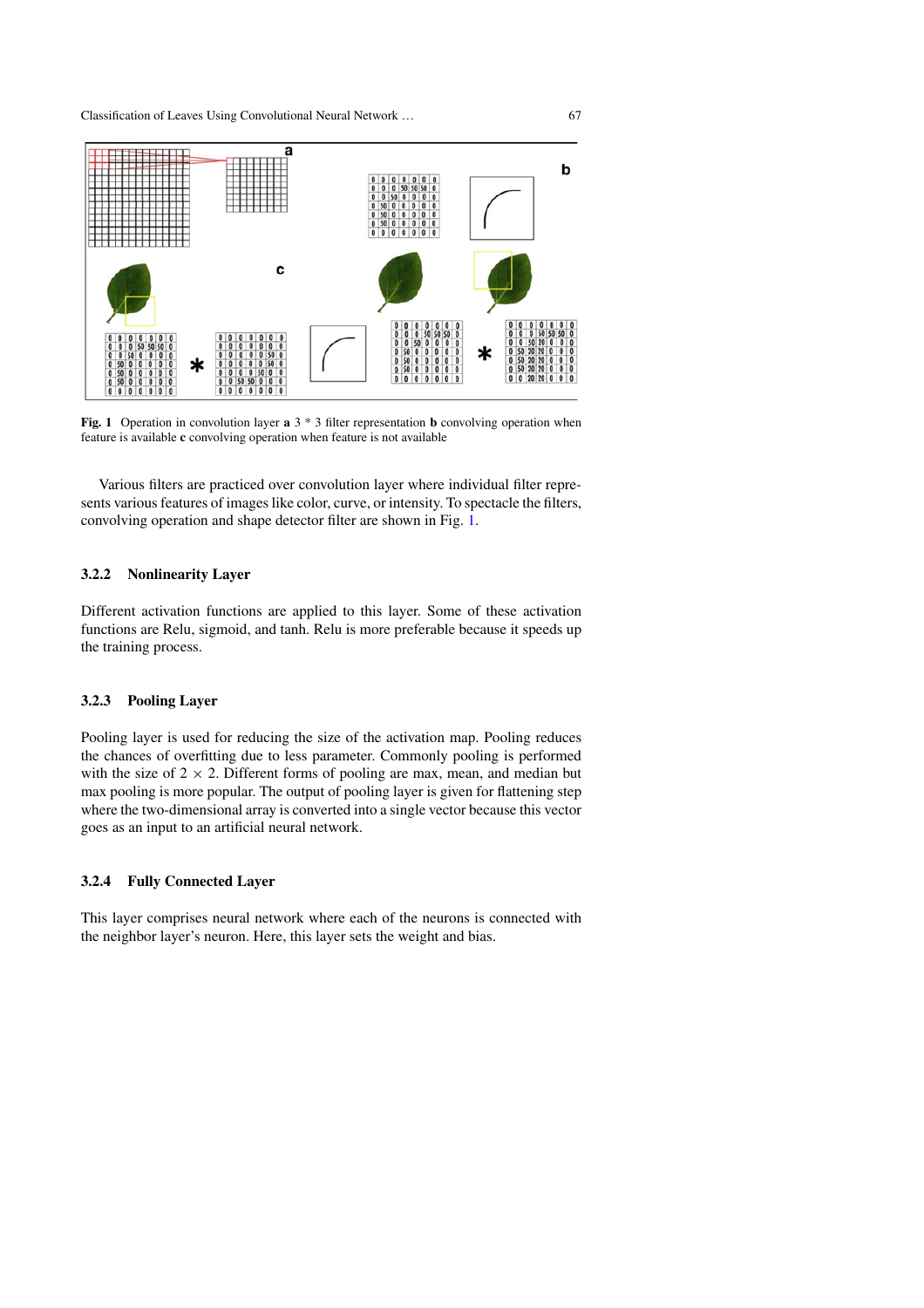

**Fig. 1** Operation in convolution layer **a** 3  $*$  3 filter representation **b** convolving operation when feature is available **c** convolving operation when feature is not available

Various filters are practiced over convolution layer where individual filter represents various features of images like color, curve, or intensity. To spectacle the filters, convolving operation and shape detector filter are shown in Fig. 1.

### **3.2.2 Nonlinearity Layer**

Different activation functions are applied to this layer. Some of these activation functions are Relu, sigmoid, and tanh. Relu is more preferable because it speeds up the training process.

### **3.2.3 Pooling Layer**

Pooling layer is used for reducing the size of the activation map. Pooling reduces the chances of overfitting due to less parameter. Commonly pooling is performed with the size of  $2 \times 2$ . Different forms of pooling are max, mean, and median but max pooling is more popular. The output of pooling layer is given for flattening step where the two-dimensional array is converted into a single vector because this vector goes as an input to an artificial neural network.

### **3.2.4 Fully Connected Layer**

This layer comprises neural network where each of the neurons is connected with the neighbor layer's neuron. Here, this layer sets the weight and bias.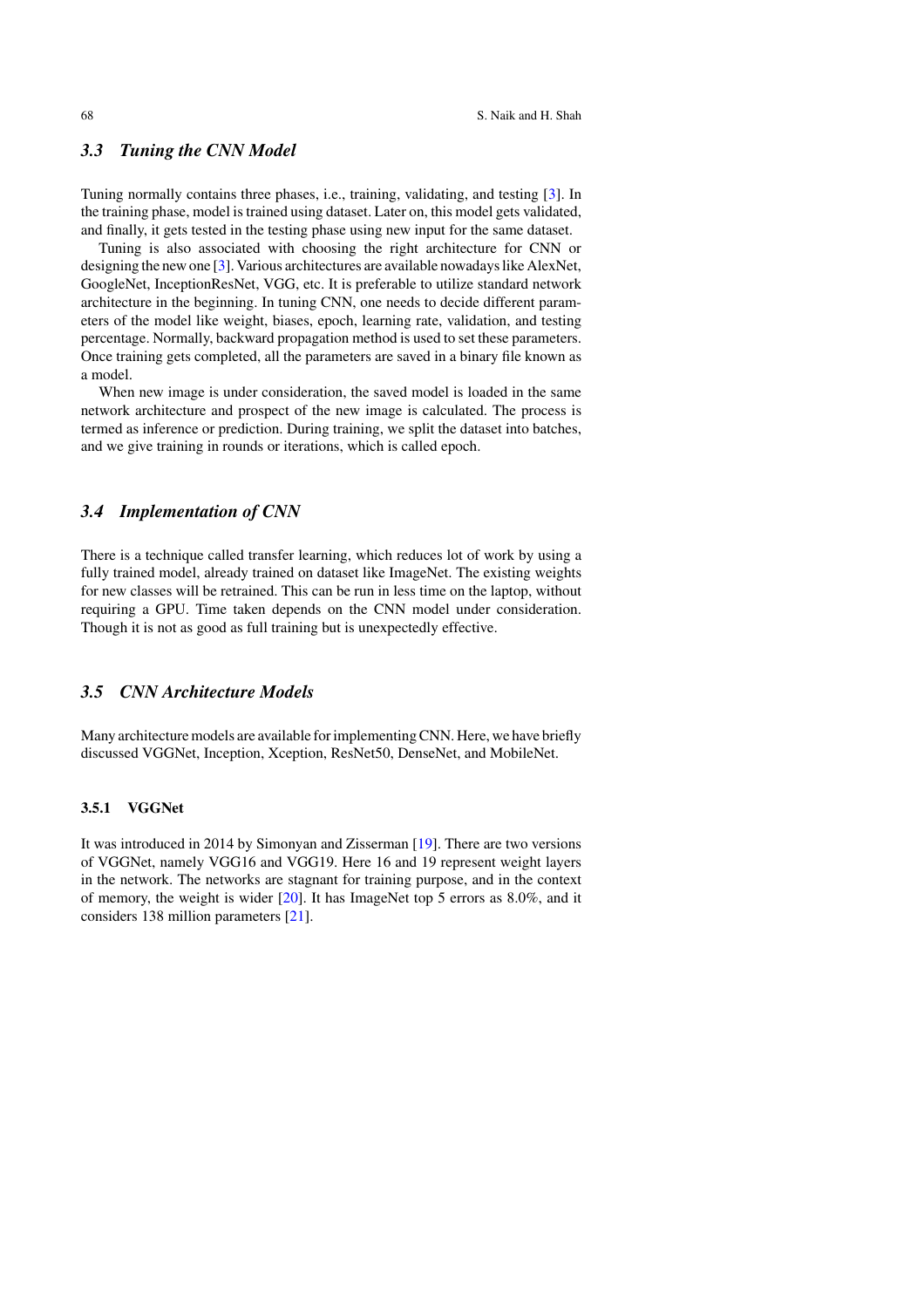### *3.3 Tuning the CNN Model*

Tuning normally contains three phases, i.e., training, validating, and testing [3]. In the training phase, model is trained using dataset. Later on, this model gets validated, and finally, it gets tested in the testing phase using new input for the same dataset.

Tuning is also associated with choosing the right architecture for CNN or designing the new one [3]. Various architectures are available nowadays like AlexNet, GoogleNet, InceptionResNet, VGG, etc. It is preferable to utilize standard network architecture in the beginning. In tuning CNN, one needs to decide different parameters of the model like weight, biases, epoch, learning rate, validation, and testing percentage. Normally, backward propagation method is used to set these parameters. Once training gets completed, all the parameters are saved in a binary file known as a model.

When new image is under consideration, the saved model is loaded in the same network architecture and prospect of the new image is calculated. The process is termed as inference or prediction. During training, we split the dataset into batches, and we give training in rounds or iterations, which is called epoch.

### *3.4 Implementation of CNN*

There is a technique called transfer learning, which reduces lot of work by using a fully trained model, already trained on dataset like ImageNet. The existing weights for new classes will be retrained. This can be run in less time on the laptop, without requiring a GPU. Time taken depends on the CNN model under consideration. Though it is not as good as full training but is unexpectedly effective.

### *3.5 CNN Architecture Models*

Many architecture models are available for implementing CNN. Here, we have briefly discussed VGGNet, Inception, Xception, ResNet50, DenseNet, and MobileNet.

### **3.5.1 VGGNet**

It was introduced in 2014 by Simonyan and Zisserman [19]. There are two versions of VGGNet, namely VGG16 and VGG19. Here 16 and 19 represent weight layers in the network. The networks are stagnant for training purpose, and in the context of memory, the weight is wider [20]. It has ImageNet top 5 errors as 8.0%, and it considers 138 million parameters [21].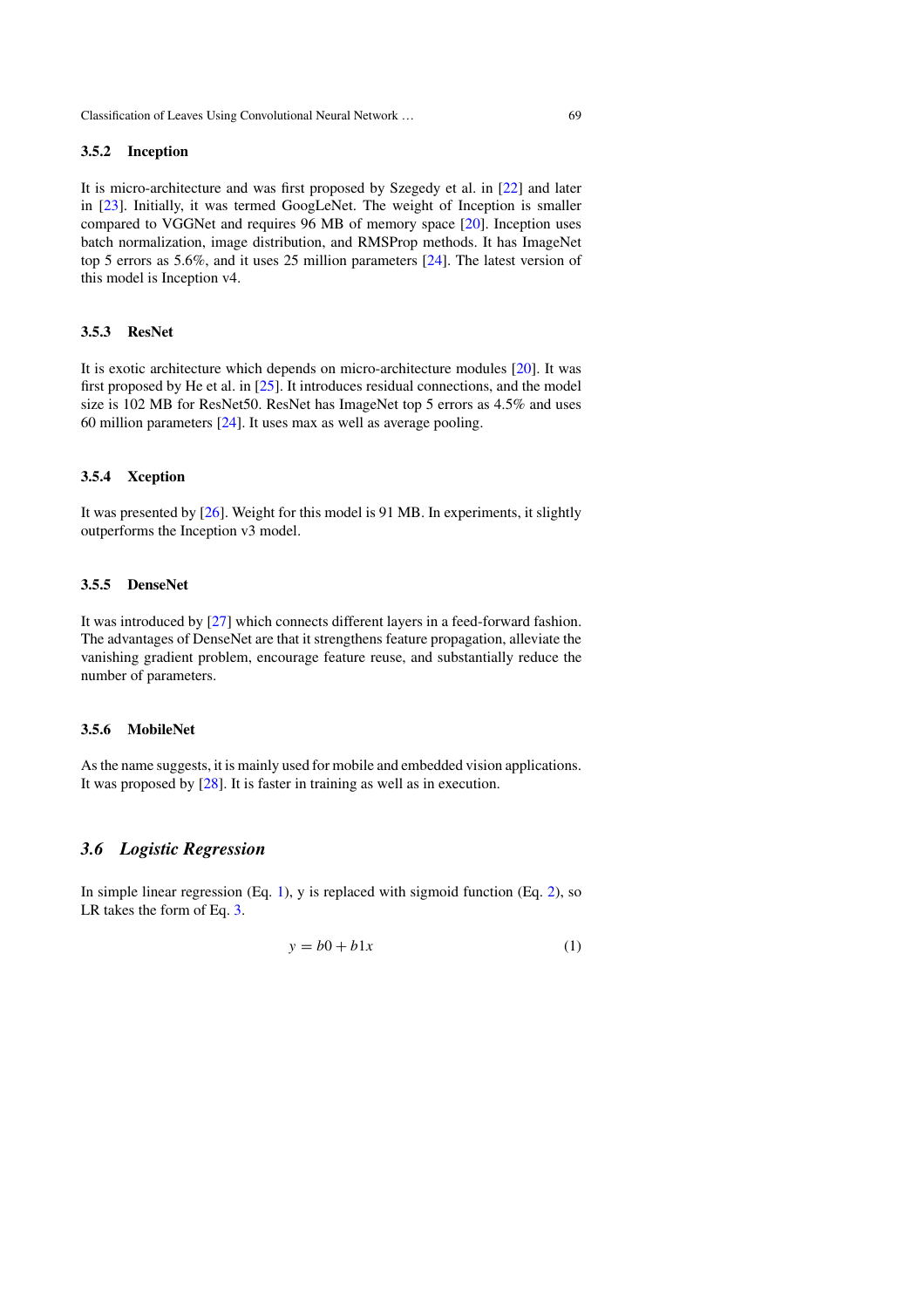### **3.5.2 Inception**

It is micro-architecture and was first proposed by Szegedy et al. in [22] and later in [23]. Initially, it was termed GoogLeNet. The weight of Inception is smaller compared to VGGNet and requires 96 MB of memory space [20]. Inception uses batch normalization, image distribution, and RMSProp methods. It has ImageNet top 5 errors as 5.6%, and it uses 25 million parameters [24]. The latest version of this model is Inception v4.

### **3.5.3 ResNet**

It is exotic architecture which depends on micro-architecture modules [20]. It was first proposed by He et al. in [25]. It introduces residual connections, and the model size is 102 MB for ResNet50. ResNet has ImageNet top 5 errors as 4.5% and uses 60 million parameters [24]. It uses max as well as average pooling.

### **3.5.4 Xception**

It was presented by [26]. Weight for this model is 91 MB. In experiments, it slightly outperforms the Inception v3 model.

### **3.5.5 DenseNet**

It was introduced by [27] which connects different layers in a feed-forward fashion. The advantages of DenseNet are that it strengthens feature propagation, alleviate the vanishing gradient problem, encourage feature reuse, and substantially reduce the number of parameters.

### **3.5.6 MobileNet**

As the name suggests, it is mainly used for mobile and embedded vision applications. It was proposed by [28]. It is faster in training as well as in execution.

### *3.6 Logistic Regression*

In simple linear regression (Eq. 1), y is replaced with sigmoid function (Eq. 2), so LR takes the form of Eq. 3.

$$
y = b0 + b1x \tag{1}
$$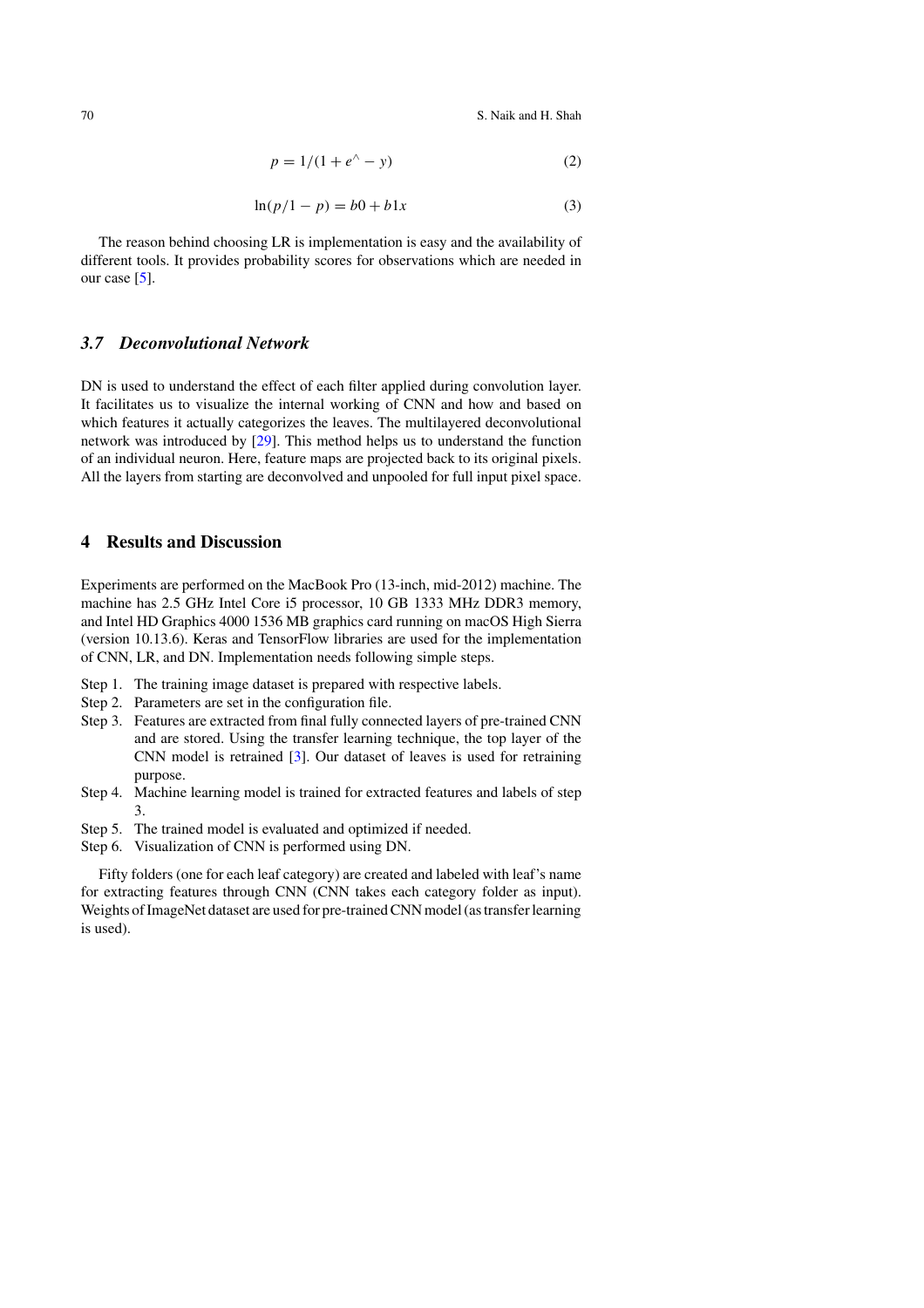70 S. Naik and H. Shah

$$
p = 1/(1 + e^{\wedge} - y) \tag{2}
$$

$$
\ln(p/1 - p) = b0 + b1x\tag{3}
$$

The reason behind choosing LR is implementation is easy and the availability of different tools. It provides probability scores for observations which are needed in our case [5].

### *3.7 Deconvolutional Network*

DN is used to understand the effect of each filter applied during convolution layer. It facilitates us to visualize the internal working of CNN and how and based on which features it actually categorizes the leaves. The multilayered deconvolutional network was introduced by [29]. This method helps us to understand the function of an individual neuron. Here, feature maps are projected back to its original pixels. All the layers from starting are deconvolved and unpooled for full input pixel space.

### **4 Results and Discussion**

Experiments are performed on the MacBook Pro (13-inch, mid-2012) machine. The machine has 2.5 GHz Intel Core i5 processor, 10 GB 1333 MHz DDR3 memory, and Intel HD Graphics 4000 1536 MB graphics card running on macOS High Sierra (version 10.13.6). Keras and TensorFlow libraries are used for the implementation of CNN, LR, and DN. Implementation needs following simple steps.

- Step 1. The training image dataset is prepared with respective labels.
- Step 2. Parameters are set in the configuration file.
- Step 3. Features are extracted from final fully connected layers of pre-trained CNN and are stored. Using the transfer learning technique, the top layer of the CNN model is retrained [3]. Our dataset of leaves is used for retraining purpose.
- Step 4. Machine learning model is trained for extracted features and labels of step 3.
- Step 5. The trained model is evaluated and optimized if needed.
- Step 6. Visualization of CNN is performed using DN.

Fifty folders (one for each leaf category) are created and labeled with leaf's name for extracting features through CNN (CNN takes each category folder as input). Weights of ImageNet dataset are used for pre-trained CNN model (as transfer learning is used).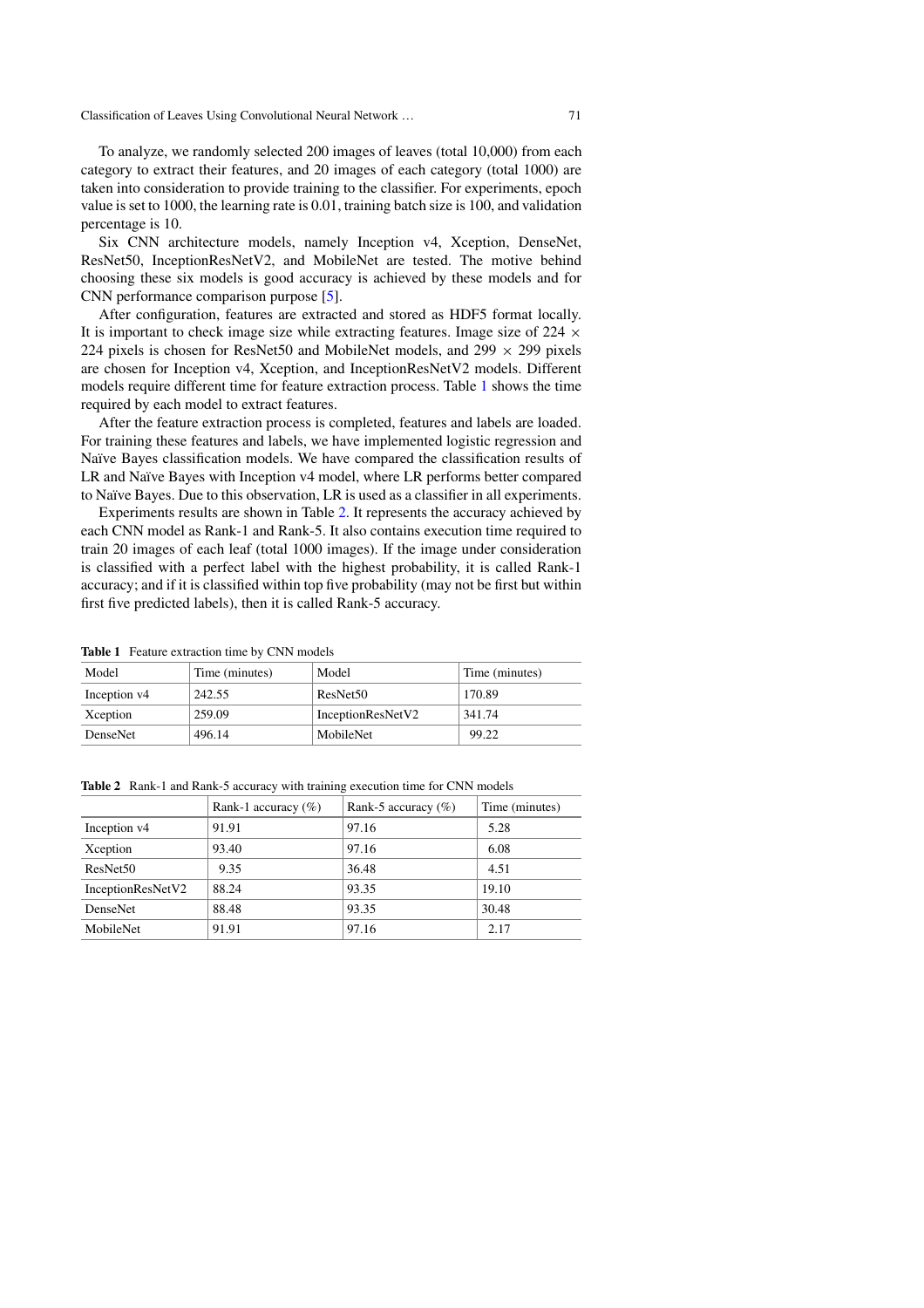To analyze, we randomly selected 200 images of leaves (total 10,000) from each category to extract their features, and 20 images of each category (total 1000) are taken into consideration to provide training to the classifier. For experiments, epoch value is set to 1000, the learning rate is 0.01, training batch size is 100, and validation percentage is 10.

Six CNN architecture models, namely Inception v4, Xception, DenseNet, ResNet50, InceptionResNetV2, and MobileNet are tested. The motive behind choosing these six models is good accuracy is achieved by these models and for CNN performance comparison purpose [5].

After configuration, features are extracted and stored as HDF5 format locally. It is important to check image size while extracting features. Image size of  $224 \times$ 224 pixels is chosen for ResNet50 and MobileNet models, and  $299 \times 299$  pixels are chosen for Inception v4, Xception, and InceptionResNetV2 models. Different models require different time for feature extraction process. Table 1 shows the time required by each model to extract features.

After the feature extraction process is completed, features and labels are loaded. For training these features and labels, we have implemented logistic regression and Naïve Bayes classification models. We have compared the classification results of LR and Naïve Bayes with Inception v4 model, where LR performs better compared to Naïve Bayes. Due to this observation, LR is used as a classifier in all experiments.

Experiments results are shown in Table 2. It represents the accuracy achieved by each CNN model as Rank-1 and Rank-5. It also contains execution time required to train 20 images of each leaf (total 1000 images). If the image under consideration is classified with a perfect label with the highest probability, it is called Rank-1 accuracy; and if it is classified within top five probability (may not be first but within first five predicted labels), then it is called Rank-5 accuracy.

| <b>Table 1</b> Feature extraction time by CNN models |                |                      |                |  |
|------------------------------------------------------|----------------|----------------------|----------------|--|
| Model                                                | Time (minutes) | Model                | Time (minutes) |  |
| Inception v4                                         | 242.55         | ResNet <sub>50</sub> | 170.89         |  |
| Xception                                             | 259.09         | InceptionResNetV2    | 341.74         |  |
| DenseNet                                             | 496.14         | MobileNet            | 99.22          |  |

**Table 2** Rank-1 and Rank-5 accuracy with training execution time for CNN models

|                      | Rank-1 accuracy $(\%)$ | Rank-5 accuracy $(\%)$ | Time (minutes) |
|----------------------|------------------------|------------------------|----------------|
| Inception v4         | 91.91                  | 97.16                  | 5.28           |
| Xception             | 93.40                  | 97.16                  | 6.08           |
| ResNet <sub>50</sub> | 9.35                   | 36.48                  | 4.51           |
| InceptionResNetV2    | 88.24                  | 93.35                  | 19.10          |
| DenseNet             | 88.48                  | 93.35                  | 30.48          |
| MobileNet            | 91.91                  | 97.16                  | 2.17           |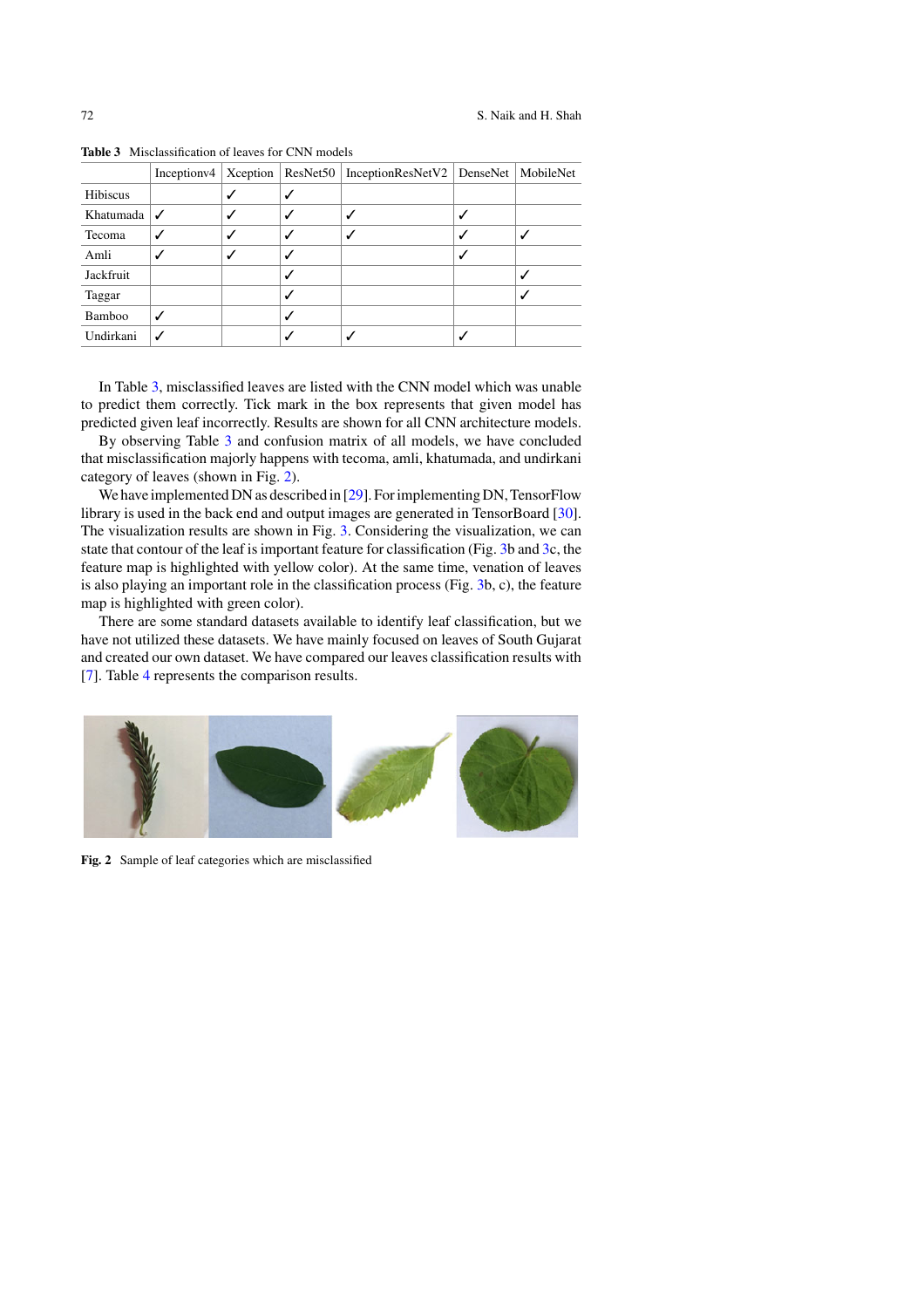|           | Inception $\vee$ 4 |  | Xception   ResNet50   InceptionResNetV2   DenseNet | MobileNet |
|-----------|--------------------|--|----------------------------------------------------|-----------|
| Hibiscus  |                    |  |                                                    |           |
| Khatumada |                    |  |                                                    |           |
| Tecoma    |                    |  |                                                    |           |
| Amli      |                    |  |                                                    |           |
| Jackfruit |                    |  |                                                    |           |
| Taggar    |                    |  |                                                    |           |
| Bamboo    |                    |  |                                                    |           |
| Undirkani |                    |  |                                                    |           |

**Table 3** Misclassification of leaves for CNN models

In Table 3, misclassified leaves are listed with the CNN model which was unable to predict them correctly. Tick mark in the box represents that given model has predicted given leaf incorrectly. Results are shown for all CNN architecture models.

By observing Table 3 and confusion matrix of all models, we have concluded that misclassification majorly happens with tecoma, amli, khatumada, and undirkani category of leaves (shown in Fig. 2).

We have implemented DN as described in [29]. For implementing DN, TensorFlow library is used in the back end and output images are generated in TensorBoard [30]. The visualization results are shown in Fig. 3. Considering the visualization, we can state that contour of the leaf is important feature for classification (Fig. 3b and 3c, the feature map is highlighted with yellow color). At the same time, venation of leaves is also playing an important role in the classification process (Fig. 3b, c), the feature map is highlighted with green color).

There are some standard datasets available to identify leaf classification, but we have not utilized these datasets. We have mainly focused on leaves of South Gujarat and created our own dataset. We have compared our leaves classification results with [7]. Table 4 represents the comparison results.



**Fig. 2** Sample of leaf categories which are misclassified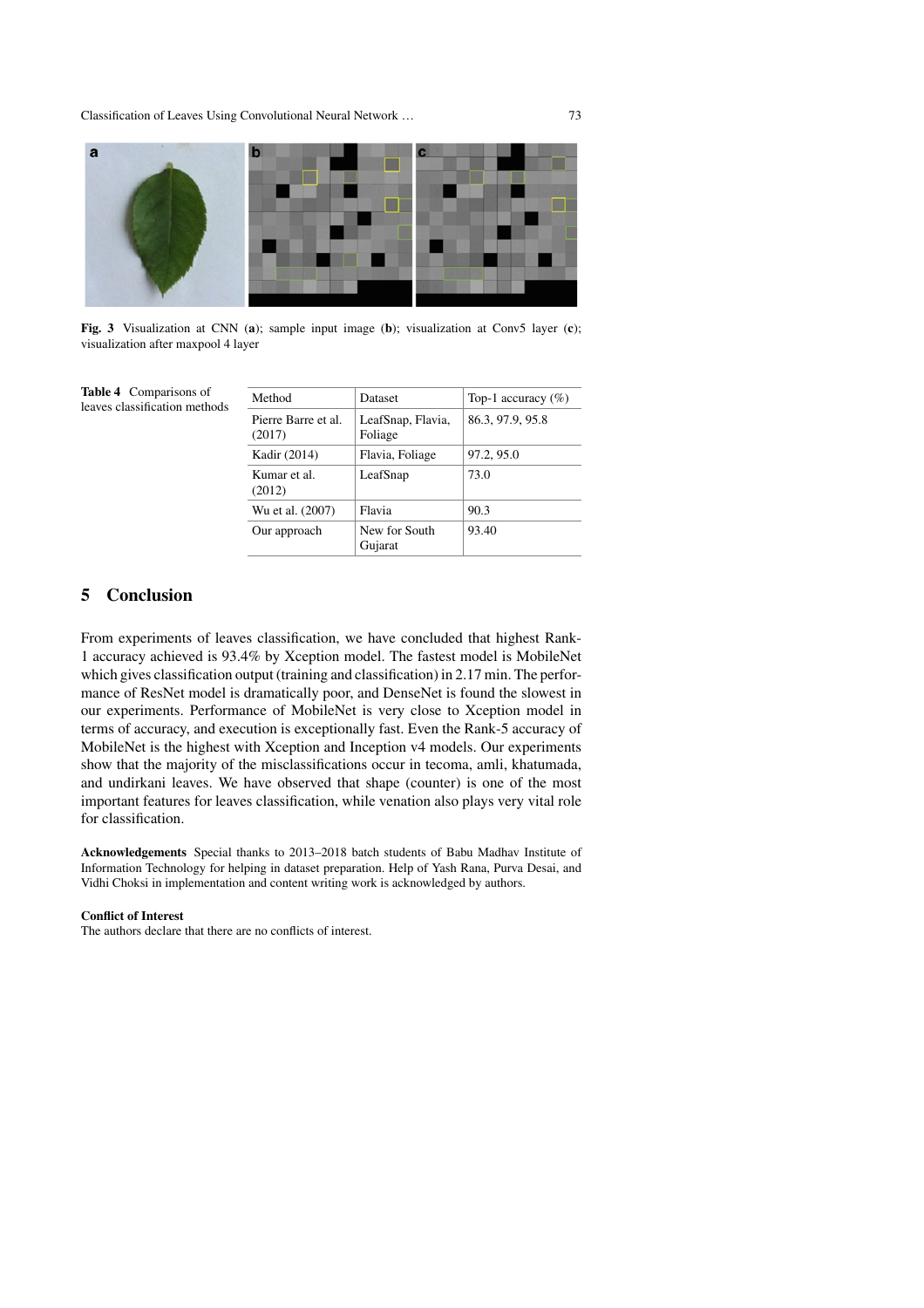

**Fig. 3** Visualization at CNN (**a**); sample input image (**b**); visualization at Conv5 layer (**c**); visualization after maxpool 4 layer

| Method                        | Dataset                      | Top-1 accuracy $(\%)$ |  |  |
|-------------------------------|------------------------------|-----------------------|--|--|
| Pierre Barre et al.<br>(2017) | LeafSnap, Flavia,<br>Foliage | 86.3, 97.9, 95.8      |  |  |
| Kadir (2014)                  | Flavia, Foliage              | 97.2, 95.0            |  |  |
| Kumar et al.<br>(2012)        | LeafSnap                     | 73.0                  |  |  |
| Wu et al. (2007)              | Flavia                       | 90.3                  |  |  |
| Our approach                  | New for South<br>Gujarat     | 93.40                 |  |  |
|                               |                              |                       |  |  |

### **5 Conclusion**

From experiments of leaves classification, we have concluded that highest Rank-1 accuracy achieved is 93.4% by Xception model. The fastest model is MobileNet which gives classification output (training and classification) in 2.17 min. The performance of ResNet model is dramatically poor, and DenseNet is found the slowest in our experiments. Performance of MobileNet is very close to Xception model in terms of accuracy, and execution is exceptionally fast. Even the Rank-5 accuracy of MobileNet is the highest with Xception and Inception v4 models. Our experiments show that the majority of the misclassifications occur in tecoma, amli, khatumada, and undirkani leaves. We have observed that shape (counter) is one of the most important features for leaves classification, while venation also plays very vital role for classification.

**Acknowledgements** Special thanks to 2013–2018 batch students of Babu Madhav Institute of Information Technology for helping in dataset preparation. Help of Yash Rana, Purva Desai, and Vidhi Choksi in implementation and content writing work is acknowledged by authors.

### **Conflict of Interest**

The authors declare that there are no conflicts of interest.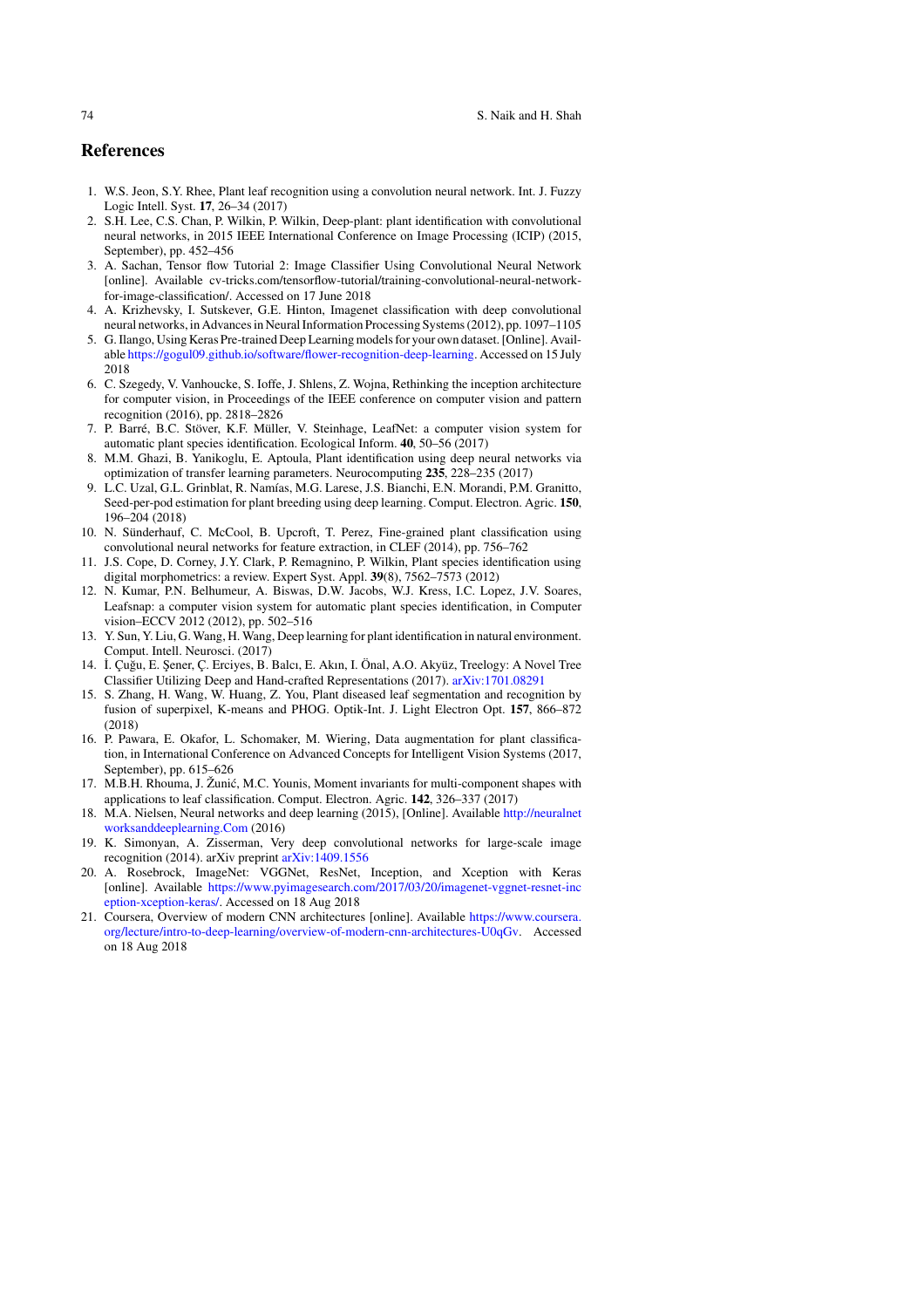### **References**

- 1. W.S. Jeon, S.Y. Rhee, Plant leaf recognition using a convolution neural network. Int. J. Fuzzy Logic Intell. Syst. **17**, 26–34 (2017)
- 2. S.H. Lee, C.S. Chan, P. Wilkin, P. Wilkin, Deep-plant: plant identification with convolutional neural networks, in 2015 IEEE International Conference on Image Processing (ICIP) (2015, September), pp. 452–456
- 3. A. Sachan, Tensor flow Tutorial 2: Image Classifier Using Convolutional Neural Network [online]. Available cv-tricks.com/tensorflow-tutorial/training-convolutional-neural-networkfor-image-classification/. Accessed on 17 June 2018
- 4. A. Krizhevsky, I. Sutskever, G.E. Hinton, Imagenet classification with deep convolutional neural networks, in Advances in Neural Information Processing Systems (2012), pp. 1097–1105
- 5. G. Ilango, Using Keras Pre-trained Deep Learning models for your own dataset. [Online]. Available https://gogul09.github.io/software/flower-recognition-deep-learning. Accessed on 15 July 2018
- 6. C. Szegedy, V. Vanhoucke, S. Ioffe, J. Shlens, Z. Wojna, Rethinking the inception architecture for computer vision, in Proceedings of the IEEE conference on computer vision and pattern recognition (2016), pp. 2818–2826
- 7. P. Barré, B.C. Stöver, K.F. Müller, V. Steinhage, LeafNet: a computer vision system for automatic plant species identification. Ecological Inform. **40**, 50–56 (2017)
- 8. M.M. Ghazi, B. Yanikoglu, E. Aptoula, Plant identification using deep neural networks via optimization of transfer learning parameters. Neurocomputing **235**, 228–235 (2017)
- 9. L.C. Uzal, G.L. Grinblat, R. Namías, M.G. Larese, J.S. Bianchi, E.N. Morandi, P.M. Granitto, Seed-per-pod estimation for plant breeding using deep learning. Comput. Electron. Agric. **150**, 196–204 (2018)
- 10. N. Sünderhauf, C. McCool, B. Upcroft, T. Perez, Fine-grained plant classification using convolutional neural networks for feature extraction, in CLEF (2014), pp. 756–762
- 11. J.S. Cope, D. Corney, J.Y. Clark, P. Remagnino, P. Wilkin, Plant species identification using digital morphometrics: a review. Expert Syst. Appl. **39**(8), 7562–7573 (2012)
- 12. N. Kumar, P.N. Belhumeur, A. Biswas, D.W. Jacobs, W.J. Kress, I.C. Lopez, J.V. Soares, Leafsnap: a computer vision system for automatic plant species identification, in Computer vision–ECCV 2012 (2012), pp. 502–516
- 13. Y. Sun, Y. Liu, G. Wang, H. Wang, Deep learning for plant identification in natural environment. Comput. Intell. Neurosci. (2017)
- 14. ˙I. Çu˘gu, E. ¸Sener, Ç. Erciyes, B. Balcı, E. Akın, I. Önal, A.O. Akyüz, Treelogy: A Novel Tree Classifier Utilizing Deep and Hand-crafted Representations (2017). arXiv:1701.08291
- 15. S. Zhang, H. Wang, W. Huang, Z. You, Plant diseased leaf segmentation and recognition by fusion of superpixel, K-means and PHOG. Optik-Int. J. Light Electron Opt. **157**, 866–872 (2018)
- 16. P. Pawara, E. Okafor, L. Schomaker, M. Wiering, Data augmentation for plant classification, in International Conference on Advanced Concepts for Intelligent Vision Systems (2017, September), pp. 615–626
- 17. M.B.H. Rhouma, J. Žunić, M.C. Younis, Moment invariants for multi-component shapes with applications to leaf classification. Comput. Electron. Agric. **142**, 326–337 (2017)
- 18. M.A. Nielsen, Neural networks and deep learning (2015), [Online]. Available http://neuralnet worksanddeeplearning.Com (2016)
- 19. K. Simonyan, A. Zisserman, Very deep convolutional networks for large-scale image recognition (2014). arXiv preprint arXiv:1409.1556
- 20. A. Rosebrock, ImageNet: VGGNet, ResNet, Inception, and Xception with Keras [online]. Available https://www.pyimagesearch.com/2017/03/20/imagenet-vggnet-resnet-inc eption-xception-keras/. Accessed on 18 Aug 2018
- 21. Coursera, Overview of modern CNN architectures [online]. Available https://www.coursera. org/lecture/intro-to-deep-learning/overview-of-modern-cnn-architectures-U0qGv. Accessed on 18 Aug 2018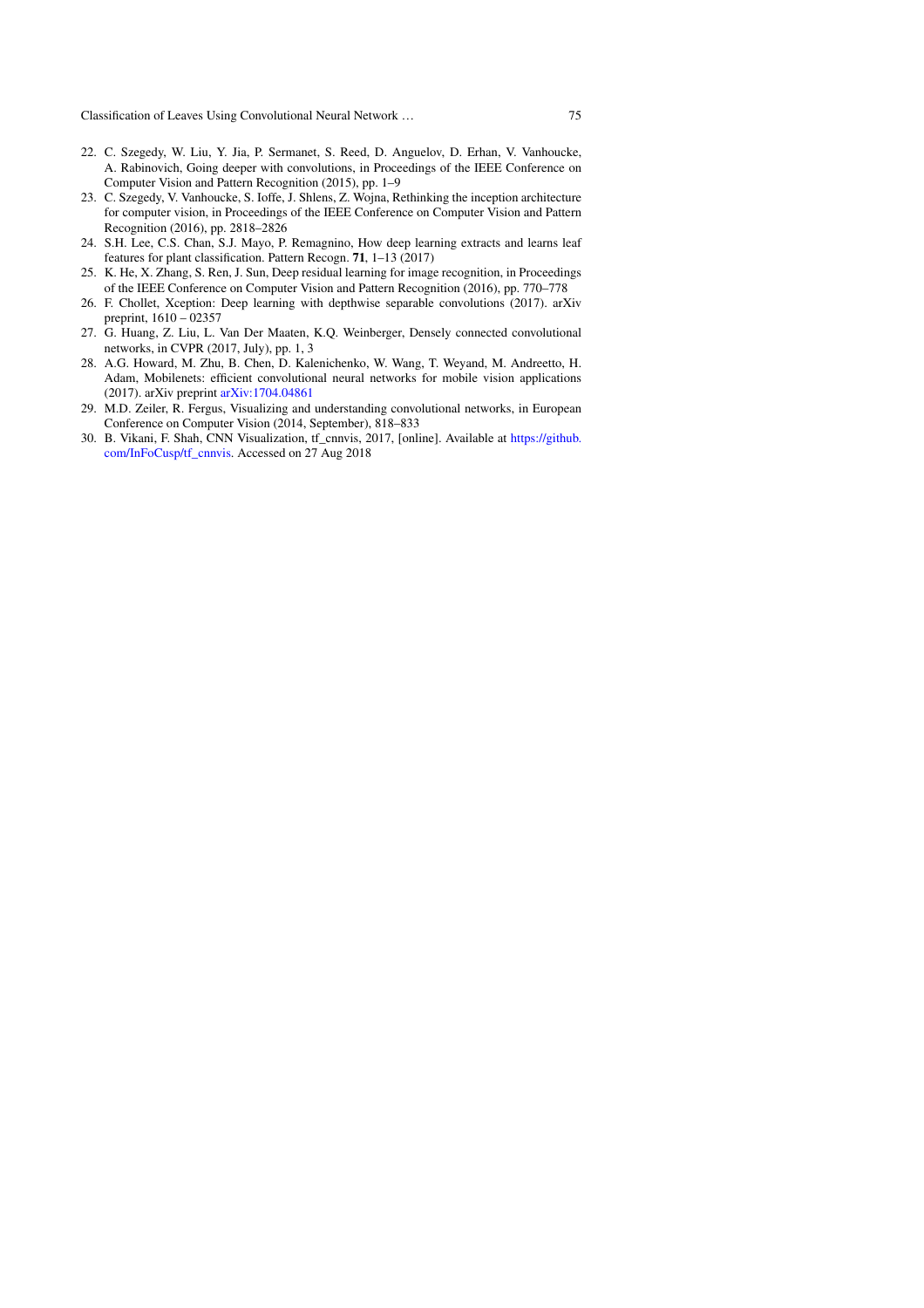- 22. C. Szegedy, W. Liu, Y. Jia, P. Sermanet, S. Reed, D. Anguelov, D. Erhan, V. Vanhoucke, A. Rabinovich, Going deeper with convolutions, in Proceedings of the IEEE Conference on Computer Vision and Pattern Recognition (2015), pp. 1–9
- 23. C. Szegedy, V. Vanhoucke, S. Ioffe, J. Shlens, Z. Wojna, Rethinking the inception architecture for computer vision, in Proceedings of the IEEE Conference on Computer Vision and Pattern Recognition (2016), pp. 2818–2826
- 24. S.H. Lee, C.S. Chan, S.J. Mayo, P. Remagnino, How deep learning extracts and learns leaf features for plant classification. Pattern Recogn. **71**, 1–13 (2017)
- 25. K. He, X. Zhang, S. Ren, J. Sun, Deep residual learning for image recognition, in Proceedings of the IEEE Conference on Computer Vision and Pattern Recognition (2016), pp. 770–778
- 26. F. Chollet, Xception: Deep learning with depthwise separable convolutions (2017). arXiv preprint, 1610 – 02357
- 27. G. Huang, Z. Liu, L. Van Der Maaten, K.Q. Weinberger, Densely connected convolutional networks, in CVPR (2017, July), pp. 1, 3
- 28. A.G. Howard, M. Zhu, B. Chen, D. Kalenichenko, W. Wang, T. Weyand, M. Andreetto, H. Adam, Mobilenets: efficient convolutional neural networks for mobile vision applications (2017). arXiv preprint arXiv:1704.04861
- 29. M.D. Zeiler, R. Fergus, Visualizing and understanding convolutional networks, in European Conference on Computer Vision (2014, September), 818–833
- 30. B. Vikani, F. Shah, CNN Visualization, tf\_cnnvis, 2017, [online]. Available at https://github. com/InFoCusp/tf\_cnnvis. Accessed on 27 Aug 2018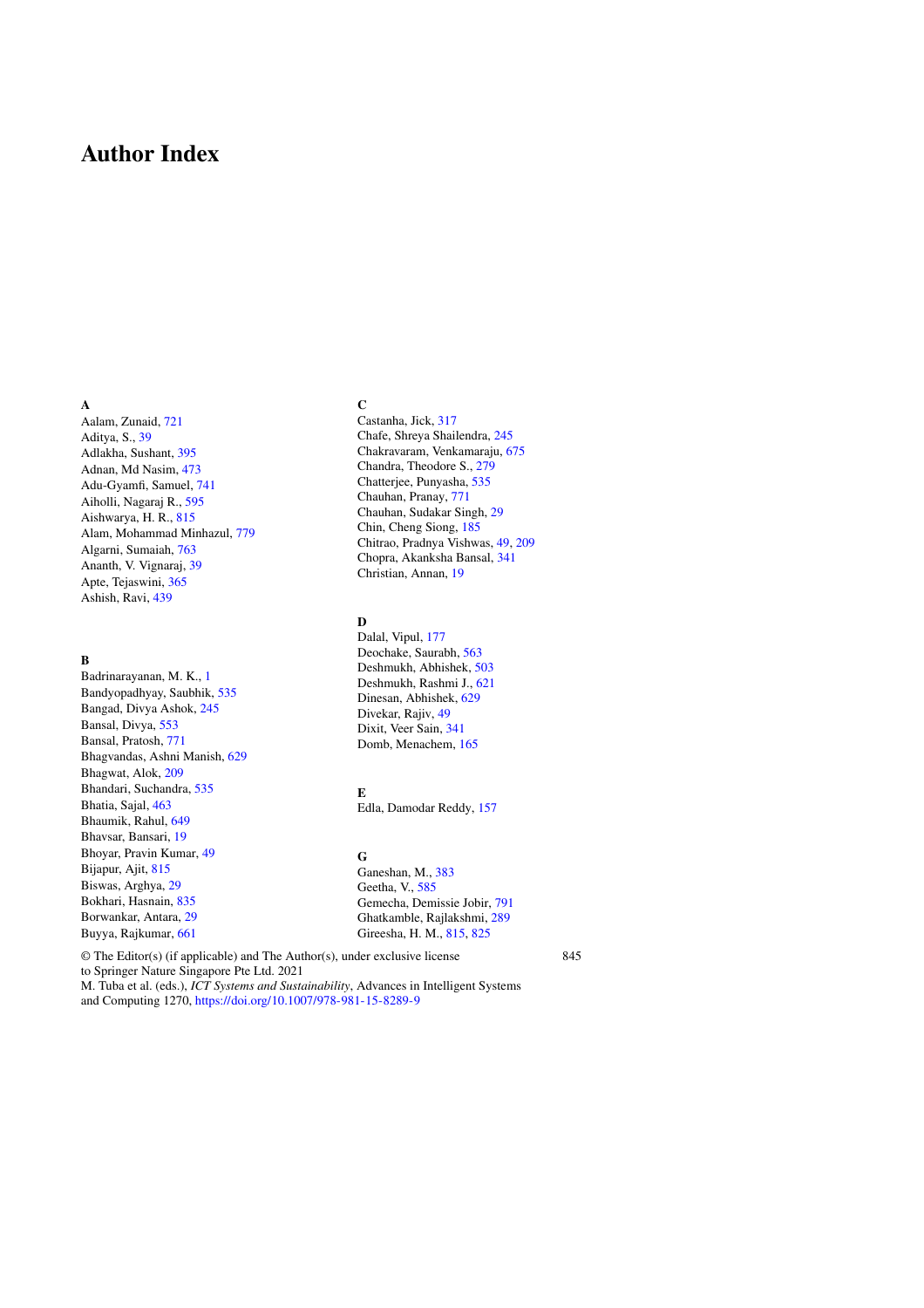## **Author Index**

### **A**

Aalam, Zunaid, 721 Aditya, S., 39 Adlakha, Sushant, 395 Adnan, Md Nasim, 473 Adu-Gyamfi, Samuel, 741 Aiholli, Nagaraj R., 595 Aishwarya, H. R., 815 Alam, Mohammad Minhazul, 779 Algarni, Sumaiah, 763 Ananth, V. Vignaraj, 39 Apte, Tejaswini, 365 Ashish, Ravi, 439

### **B**

Badrinarayanan, M. K., 1 Bandyopadhyay, Saubhik, 535 Bangad, Divya Ashok, 245 Bansal, Divya, 553 Bansal, Pratosh, 771 Bhagvandas, Ashni Manish, 629 Bhagwat, Alok, 209 Bhandari, Suchandra, 535 Bhatia, Sajal, 463 Bhaumik, Rahul, 649 Bhavsar, Bansari, 19 Bhoyar, Pravin Kumar, 49 Bijapur, Ajit, 815 Biswas, Arghya, 29 Bokhari, Hasnain, 835 Borwankar, Antara, 29 Buyya, Rajkumar, 661

### **C**

Castanha, Jick, 317 Chafe, Shreya Shailendra, 245 Chakravaram, Venkamaraju, 675 Chandra, Theodore S., 279 Chatterjee, Punyasha, 535 Chauhan, Pranay, 771 Chauhan, Sudakar Singh, 29 Chin, Cheng Siong, 185 Chitrao, Pradnya Vishwas, 49, 209 Chopra, Akanksha Bansal, 341 Christian, Annan, 19

### **D**

Dalal, Vipul, 177 Deochake, Saurabh, 563 Deshmukh, Abhishek, 503 Deshmukh, Rashmi J., 621 Dinesan, Abhishek, 629 Divekar, Rajiv, 49 Dixit, Veer Sain, 341 Domb, Menachem, 165

### **E**

Edla, Damodar Reddy, 157

### **G**

Ganeshan, M., 383 Geetha, V., 585 Gemecha, Demissie Jobir, 791 Ghatkamble, Rajlakshmi, 289 Gireesha, H. M., 815, 825

© The Editor(s) (if applicable) and The Author(s), under exclusive license to Springer Nature Singapore Pte Ltd. 2021 M. Tuba et al. (eds.), *ICT Systems and Sustainability*, Advances in Intelligent Systems and Computing 1270, https://doi.org/10.1007/978-981-15-8289-9

845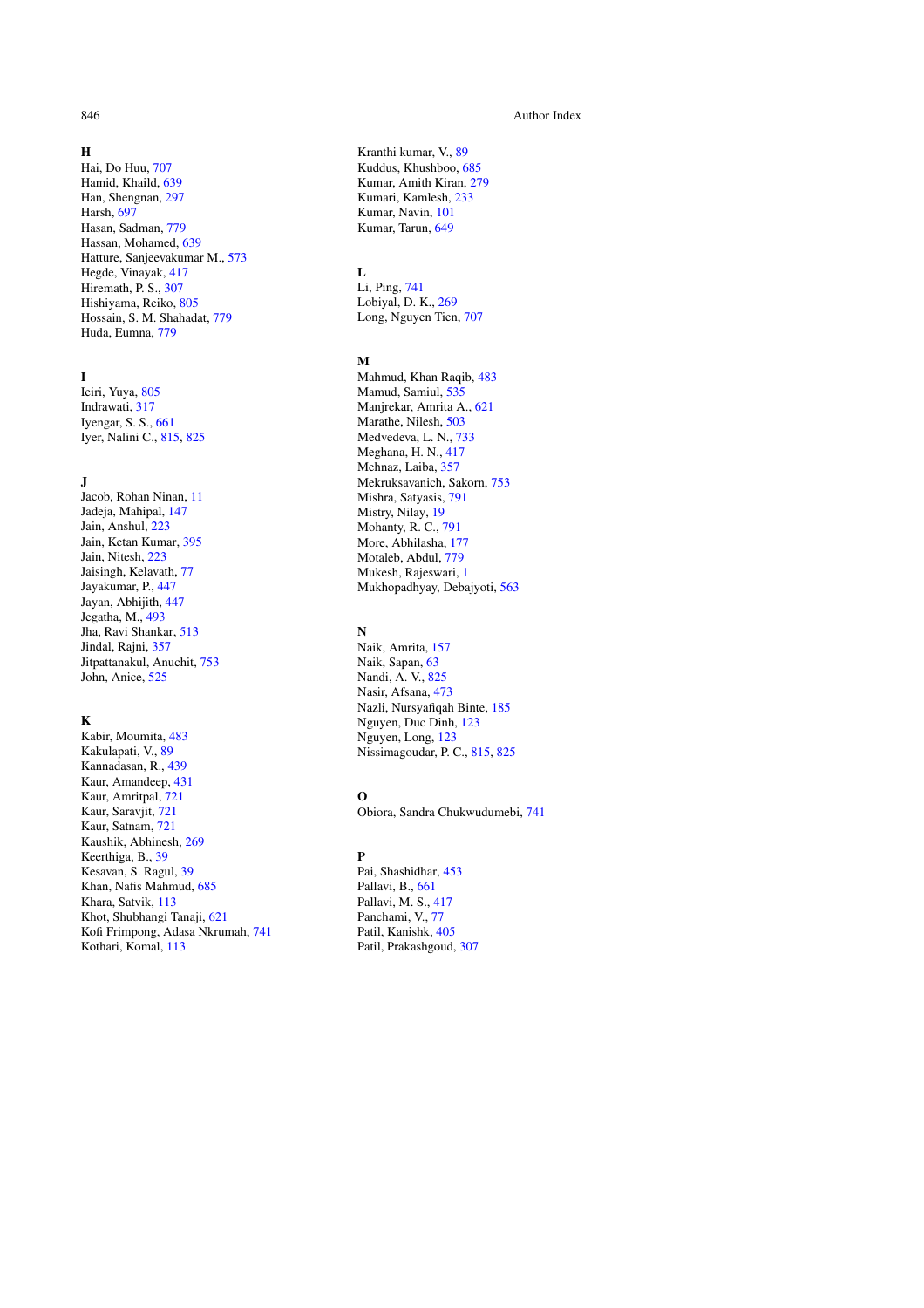### **H**

Hai, Do Huu, 707 Hamid, Khaild, 639 Han, Shengnan, 297 Harsh, 697 Hasan, Sadman, 779 Hassan, Mohamed, 639 Hatture, Sanjeevakumar M., 573 Hegde, Vinayak, 417 Hiremath, P. S., 307 Hishiyama, Reiko, 805 Hossain, S. M. Shahadat, 779 Huda, Eumna, 779

### **I**

Ieiri, Yuya, 805 Indrawati, 317 Iyengar, S. S., 661 Iyer, Nalini C., 815, 825

### **J**

Jacob, Rohan Ninan, 11 Jadeja, Mahipal, 147 Jain, Anshul, 223 Jain, Ketan Kumar, 395 Jain, Nitesh, 223 Jaisingh, Kelavath, 77 Jayakumar, P., 447 Jayan, Abhijith, 447 Jegatha, M., 493 Jha, Ravi Shankar, 513 Jindal, Rajni, 357 Jitpattanakul, Anuchit, 753 John, Anice, 525

### **K**

Kabir, Moumita, 483 Kakulapati, V., 89 Kannadasan, R., 439 Kaur, Amandeep, 431 Kaur, Amritpal, 721 Kaur, Saravjit, 721 Kaur, Satnam, 721 Kaushik, Abhinesh, 269 Keerthiga, B., 39 Kesavan, S. Ragul, 39 Khan, Nafis Mahmud, 685 Khara, Satvik, 113 Khot, Shubhangi Tanaji, 621 Kofi Frimpong, Adasa Nkrumah, 741 Kothari, Komal, 113

Kranthi kumar, V., 89 Kuddus, Khushboo, 685 Kumar, Amith Kiran, 279 Kumari, Kamlesh, 233 Kumar, Navin, 101

### **L**

Li, Ping, 741 Lobiyal, D. K., 269

### **M**

Mahmud, Khan Raqib, 483 Mamud, Samiul, 535 Manjrekar, Amrita A., 621 Marathe, Nilesh, 503 Medvedeva, L. N., 733 Meghana, H. N., 417 Mehnaz, Laiba, 357 Mekruksavanich, Sakorn, 753 Mishra, Satyasis, 791 Mistry, Nilay, 19 Mohanty, R. C., 791 More, Abhilasha, 177 Motaleb, Abdul, 779 Mukesh, Rajeswari, 1 Mukhopadhyay, Debajyoti, 563

### **N**

Naik, Amrita, 157 Naik, Sapan, 63 Nandi, A. V., 825 Nasir, Afsana, 473 Nazli, Nursyafiqah Binte, 185 Nguyen, Duc Dinh, 123 Nguyen, Long, 123 Nissimagoudar, P. C., 815, 825

### **O**

Obiora, Sandra Chukwudumebi, 741

### **P**

Pai, Shashidhar, 453 Pallavi, B., 661 Pallavi, M. S., 417 Panchami, V., 77 Patil, Kanishk, 405 Patil, Prakashgoud, 307

### 846 Author Index and the set of the set of the set of the set of the set of the set of the set of the set of the set of the set of the set of the set of the set of the set of the set of the set of the set of the set of the

Kumar, Tarun, 649

Long, Nguyen Tien, 707